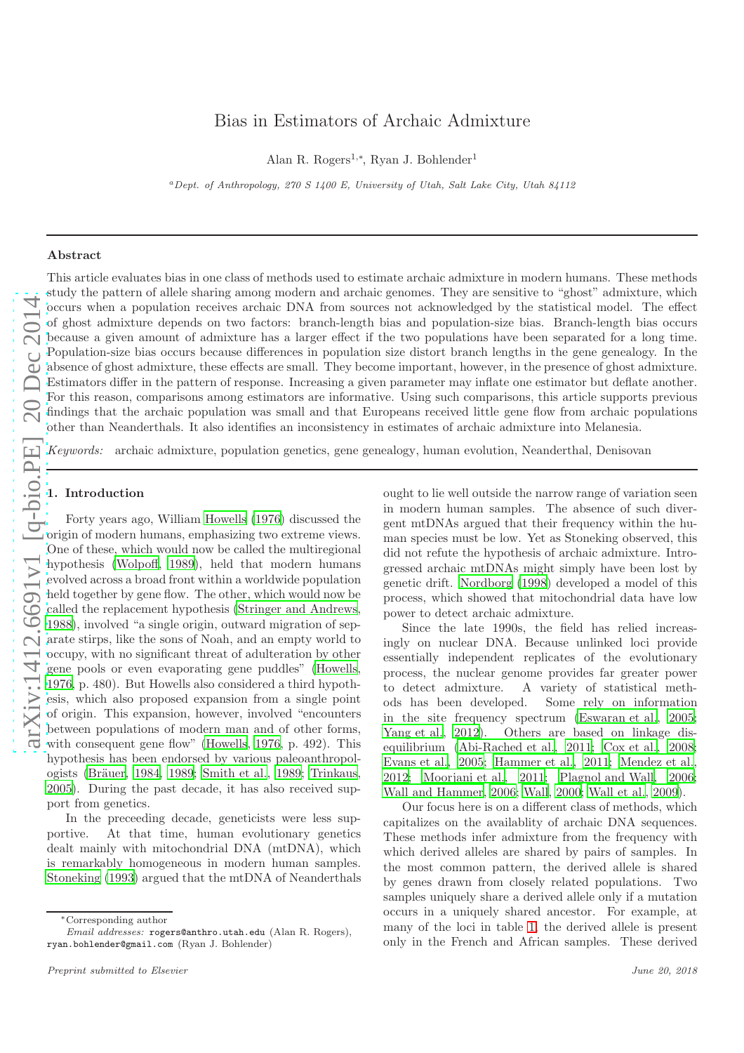# arXiv:1412.6691v1 [q-bio.PE] 20 Dec 2014 [arXiv:1412.6691v1 \[q-bio.PE\] 20 Dec 2014](http://arxiv.org/abs/1412.6691v1)

## Bias in Estimators of Archaic Admixture

Alan R. Rogers<sup>1,∗</sup>, Ryan J. Bohlender<sup>1</sup>

<sup>a</sup>*Dept. of Anthropology, 270 S 1400 E, University of Utah, Salt Lake City, Utah 84112*

### Abstract

This article evaluates bias in one class of methods used to estimate archaic admixture in modern humans. These methods study the pattern of allele sharing among modern and archaic genomes. They are sensitive to "ghost" admixture, which occurs when a population receives archaic DNA from sources not acknowledged by the statistical model. The effect of ghost admixture depends on two factors: branch-length bias and population-size bias. Branch-length bias occurs because a given amount of admixture has a larger effect if the two populations have been separated for a long time. Population-size bias occurs because differences in population size distort branch lengths in the gene genealogy. In the absence of ghost admixture, these effects are small. They become important, however, in the presence of ghost admixture. Estimators differ in the pattern of response. Increasing a given parameter may inflate one estimator but deflate another. For this reason, comparisons among estimators are informative. Using such comparisons, this article supports previous findings that the archaic population was small and that Europeans received little gene flow from archaic populations other than Neanderthals. It also identifies an inconsistency in estimates of archaic admixture into Melanesia.

Keywords: archaic admixture, population genetics, gene genealogy, human evolution, Neanderthal, Denisovan

### 1. Introduction

Forty years ago, William [Howells \(1976](#page-19-0)) discussed the origin of modern humans, emphasizing two extreme views. One of these, which would now be called the multiregional hypothesis [\(Wolpoff, 1989\)](#page-20-0), held that modern humans evolved across a broad front within a worldwide population held together by gene flow. The other, which would now be called the replacement hypothesis [\(Stringer and Andrews,](#page-20-1) [1988\)](#page-20-1), involved "a single origin, outward migration of separate stirps, like the sons of Noah, and an empty world to occupy, with no significant threat of adulteration by other gene pools or even evaporating gene puddles" [\(Howells,](#page-19-0) [1976,](#page-19-0) p. 480). But Howells also considered a third hypothesis, which also proposed expansion from a single point of origin. This expansion, however, involved "encounters between populations of modern man and of other forms, with consequent gene flow" [\(Howells, 1976](#page-19-0), p. 492). This hypothesis has been endorsed by various paleoanthropol-ogists (Bräuer, [1984,](#page-18-0) [1989;](#page-18-1) [Smith et al., 1989;](#page-19-1) [Trinkaus,](#page-20-2) [2005\)](#page-20-2). During the past decade, it has also received support from genetics.

In the preceeding decade, geneticists were less supportive. At that time, human evolutionary genetics dealt mainly with mitochondrial DNA (mtDNA), which is remarkably homogeneous in modern human samples. [Stoneking \(1993](#page-19-2)) argued that the mtDNA of Neanderthals ought to lie well outside the narrow range of variation seen in modern human samples. The absence of such divergent mtDNAs argued that their frequency within the human species must be low. Yet as Stoneking observed, this did not refute the hypothesis of archaic admixture. Introgressed archaic mtDNAs might simply have been lost by genetic drift. [Nordborg \(1998](#page-19-3)) developed a model of this process, which showed that mitochondrial data have low power to detect archaic admixture.

Since the late 1990s, the field has relied increasingly on nuclear DNA. Because unlinked loci provide essentially independent replicates of the evolutionary process, the nuclear genome provides far greater power to detect admixture. A variety of statistical methods has been developed. Some rely on information in the site frequency spectrum [\(Eswaran et al., 2005;](#page-19-4) [Yang et al.](#page-20-3), [2012](#page-20-3)). Others are based on linkage disequilibrium [\(Abi-Rached et al., 2011](#page-18-2); [Cox et al.](#page-19-5), [2008;](#page-19-5) [Evans et al., 2005;](#page-19-6) [Hammer et al.](#page-19-7), [2011](#page-19-7); [Mendez et al.,](#page-19-8) [2012;](#page-19-8) [Moorjani et al., 2011;](#page-19-9) [Plagnol and Wall, 2006;](#page-19-10) [Wall and Hammer, 2006;](#page-20-4) [Wall, 2000;](#page-20-5) [Wall et al.](#page-20-6), [2009](#page-20-6)).

Our focus here is on a different class of methods, which capitalizes on the availablity of archaic DNA sequences. These methods infer admixture from the frequency with which derived alleles are shared by pairs of samples. In the most common pattern, the derived allele is shared by genes drawn from closely related populations. Two samples uniquely share a derived allele only if a mutation occurs in a uniquely shared ancestor. For example, at many of the loci in table [1,](#page-1-0) the derived allele is present only in the French and African samples. These derived

<sup>∗</sup>Corresponding author

*Email addresses:* rogers@anthro.utah.edu (Alan R. Rogers), ryan.bohlender@gmail.com (Ryan J. Bohlender)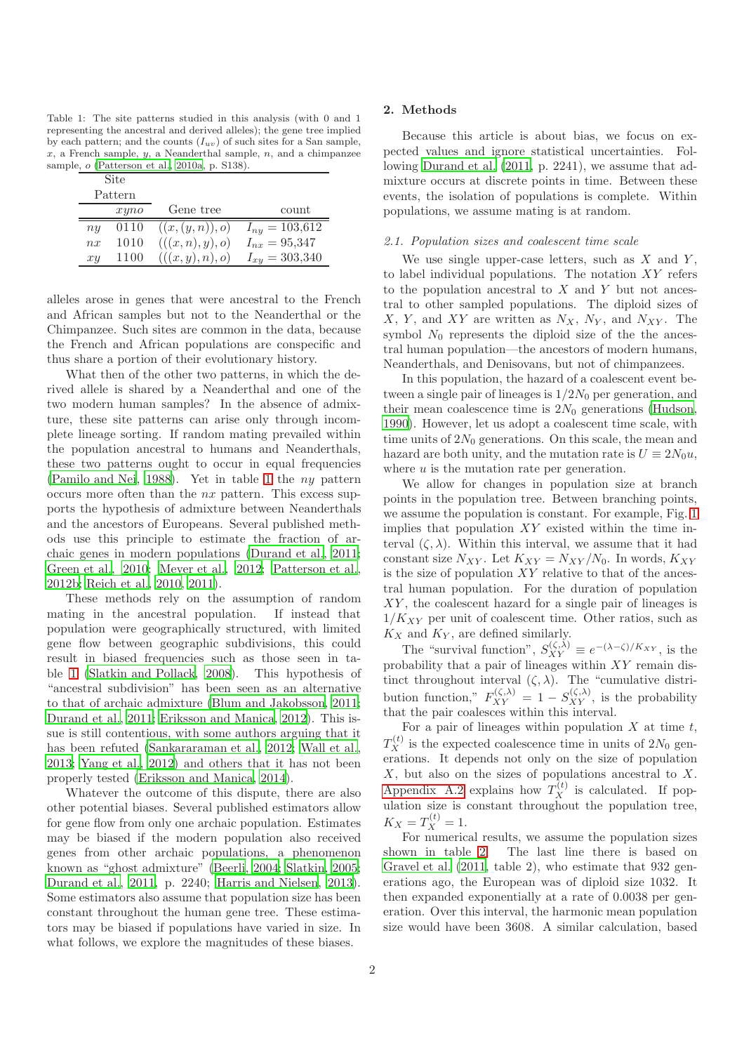<span id="page-1-0"></span>Table 1: The site patterns studied in this analysis (with 0 and 1 representing the ancestral and derived alleles); the gene tree implied by each pattern; and the counts  $(I_{uv})$  of such sites for a San sample,  $x$ , a French sample,  $y$ , a Neanderthal sample,  $n$ , and a chimpanzee sample, o [\(Patterson et al., 2010a](#page-19-11), p. S138).

| Site    |      |                  |                    |
|---------|------|------------------|--------------------|
| Pattern |      |                  |                    |
|         | xyno | Gene tree        | count              |
| ny      | 0110 | ((x,(y,n)),o)    | $I_{ny} = 103,612$ |
| nx      | 1010 | (((x, n), y), o) | $I_{nx} = 95,347$  |
| xy      | 1100 | (((x, y), n), o) | $I_{xy} = 303,340$ |

alleles arose in genes that were ancestral to the French and African samples but not to the Neanderthal or the Chimpanzee. Such sites are common in the data, because the French and African populations are conspecific and thus share a portion of their evolutionary history.

What then of the other two patterns, in which the derived allele is shared by a Neanderthal and one of the two modern human samples? In the absence of admixture, these site patterns can arise only through incomplete lineage sorting. If random mating prevailed within the population ancestral to humans and Neanderthals, these two patterns ought to occur in equal frequencies [\(Pamilo and Nei](#page-19-12), [1988\)](#page-19-12). Yet in table [1](#page-1-0) the ny pattern occurs more often than the nx pattern. This excess supports the hypothesis of admixture between Neanderthals and the ancestors of Europeans. Several published methods use this principle to estimate the fraction of archaic genes in modern populations [\(Durand et al., 2011;](#page-19-13) [Green et al.](#page-19-14), [2010;](#page-19-14) [Meyer et al., 2012](#page-19-15); [Patterson et al.,](#page-19-16) [2012b](#page-19-16); [Reich et al., 2010,](#page-19-17) [2011\)](#page-19-18).

These methods rely on the assumption of random mating in the ancestral population. If instead that population were geographically structured, with limited gene flow between geographic subdivisions, this could result in biased frequencies such as those seen in table [1](#page-1-0) [\(Slatkin and Pollack, 2008\)](#page-19-19). This hypothesis of "ancestral subdivision" has been seen as an alternative to that of archaic admixture [\(Blum and Jakobsson, 2011;](#page-18-3) [Durand et al.](#page-19-13), [2011;](#page-19-13) [Eriksson and Manica](#page-19-20), [2012](#page-19-20)). This issue is still contentious, with some authors arguing that it has been refuted [\(Sankararaman et al., 2012;](#page-19-21) [Wall et al.,](#page-20-7) [2013;](#page-20-7) [Yang et al.](#page-20-3), [2012\)](#page-20-3) and others that it has not been properly tested [\(Eriksson and Manica](#page-19-22), [2014\)](#page-19-22).

Whatever the outcome of this dispute, there are also other potential biases. Several published estimators allow for gene flow from only one archaic population. Estimates may be biased if the modern population also received genes from other archaic populations, a phenomenon known as "ghost admixture" [\(Beerli](#page-18-4), [2004;](#page-18-4) [Slatkin, 2005;](#page-19-23) [Durand et al.](#page-19-13), [2011,](#page-19-13) p. 2240; [Harris and Nielsen](#page-19-24), [2013\)](#page-19-24). Some estimators also assume that population size has been constant throughout the human gene tree. These estimators may be biased if populations have varied in size. In what follows, we explore the magnitudes of these biases.

### 2. Methods

Because this article is about bias, we focus on expected values and ignore statistical uncertainties. Following [Durand et al. \(2011](#page-19-13), p. 2241), we assume that admixture occurs at discrete points in time. Between these events, the isolation of populations is complete. Within populations, we assume mating is at random.

### <span id="page-1-1"></span>2.1. Population sizes and coalescent time scale

We use single upper-case letters, such as  $X$  and  $Y$ , to label individual populations. The notation  $XY$  refers to the population ancestral to  $X$  and  $Y$  but not ancestral to other sampled populations. The diploid sizes of X, Y, and XY are written as  $N_X$ ,  $N_Y$ , and  $N_{XY}$ . The symbol  $N_0$  represents the diploid size of the the ancestral human population—the ancestors of modern humans, Neanderthals, and Denisovans, but not of chimpanzees.

In this population, the hazard of a coalescent event between a single pair of lineages is  $1/2N_0$  per generation, and their mean coalescence time is  $2N_0$  generations [\(Hudson,](#page-19-25) [1990\)](#page-19-25). However, let us adopt a coalescent time scale, with time units of  $2N_0$  generations. On this scale, the mean and hazard are both unity, and the mutation rate is  $U \equiv 2N_0u$ , where  $u$  is the mutation rate per generation.

We allow for changes in population size at branch points in the population tree. Between branching points, we assume the population is constant. For example, Fig. [1](#page-22-0) implies that population  $XY$  existed within the time interval  $(\zeta, \lambda)$ . Within this interval, we assume that it had constant size  $N_{XY}$ . Let  $K_{XY} = N_{XY}/N_0$ . In words,  $K_{XY}$ is the size of population  $XY$  relative to that of the ancestral human population. For the duration of population XY, the coalescent hazard for a single pair of lineages is  $1/K_{XY}$  per unit of coalescent time. Other ratios, such as  $K_X$  and  $K_Y$ , are defined similarly.

The "survival function",  $S_{XY}^{(\zeta,\lambda)} \equiv e^{-(\lambda-\zeta)/K_{XY}}$ , is the probability that a pair of lineages within XY remain distinct throughout interval  $(\zeta, \lambda)$ . The "cumulative distribution function,"  $F_{XY}^{(\zeta,\lambda)} = 1 - S_{XY}^{(\zeta,\lambda)}$ , is the probability that the pair coalesces within this interval.

For a pair of lineages within population  $X$  at time  $t$ ,  $T_X^{(t)}$  is the expected coalescence time in units of  $2N_0$  generations. It depends not only on the size of population  $X$ , but also on the sizes of populations ancestral to  $X$ . [Appendix A.2](#page-11-0) explains how  $T_X^{(t)}$  is calculated. If population size is constant throughout the population tree,  $K_X = T_X^{(t)} = 1.$ 

For numerical results, we assume the population sizes shown in table [2.](#page-2-0) The last line there is based on [Gravel et al. \(2011,](#page-19-26) table 2), who estimate that 932 generations ago, the European was of diploid size 1032. It then expanded exponentially at a rate of 0.0038 per generation. Over this interval, the harmonic mean population size would have been 3608. A similar calculation, based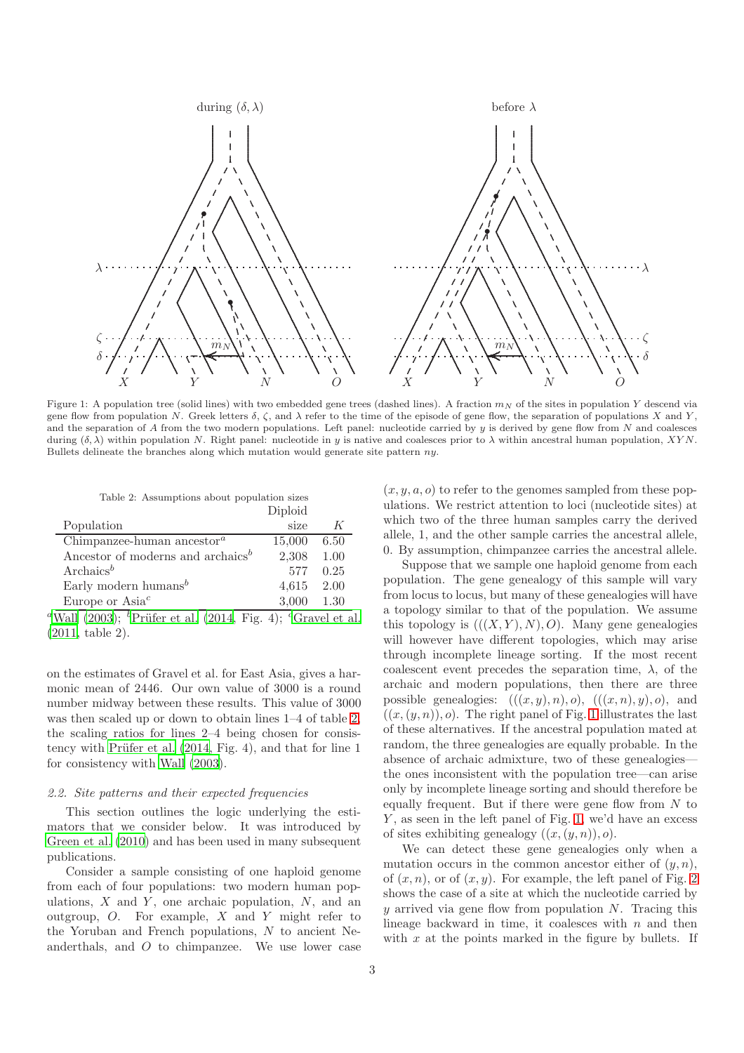

Figure 1: A population tree (solid lines) with two embedded gene trees (dashed lines). A fraction  $m_N$  of the sites in population Y descend via gene flow from population N. Greek letters  $\delta$ ,  $\zeta$ , and  $\lambda$  refer to the time of the episode of gene flow, the separation of populations X and Y, and the separation of  $A$  from the two modern populations. Left panel: nucleotide carried by  $y$  is derived by gene flow from  $N$  and coalesces during  $(\delta, \lambda)$  within population N. Right panel: nucleotide in y is native and coalesces prior to  $\lambda$  within ancestral human population, XYN. Bullets delineate the branches along which mutation would generate site pattern ny.

<span id="page-2-0"></span>Table 2: Assumptions about population sizes Diploid

|                                                     | <b>Diploid</b> |      |
|-----------------------------------------------------|----------------|------|
| Population                                          | size           |      |
| Chimpanzee-human ancestor <sup><math>a</math></sup> | 15,000         | 6.50 |
| Ancestor of moderns and archaics <sup>b</sup>       | 2,308          | 1.00 |
| Archaics <sup>b</sup>                               | 577            | 0.25 |
| Early modern humans <sup>b</sup>                    | 4,615          | 2.00 |
| Europe or $Asia^c$                                  | 3.000          | 1.30 |

<sup>a</sup>[Wall \(2003](#page-20-8)); <sup>b</sup>Prüfer et al. (2014, Fig. 4); <sup>c</sup>[Gravel et al.](#page-19-26) [\(2011,](#page-19-26) table 2).

on the estimates of Gravel et al. for East Asia, gives a harmonic mean of 2446. Our own value of 3000 is a round number midway between these results. This value of 3000 was then scaled up or down to obtain lines 1–4 of table [2,](#page-2-0) the scaling ratios for lines 2–4 being chosen for consistency with Prüfer et al.  $(2014, Fig. 4)$ , and that for line 1 for consistency with [Wall \(2003\)](#page-20-8).

### <span id="page-2-1"></span>2.2. Site patterns and their expected frequencies

This section outlines the logic underlying the estimators that we consider below. It was introduced by [Green et al. \(2010\)](#page-19-14) and has been used in many subsequent publications.

Consider a sample consisting of one haploid genome from each of four populations: two modern human populations,  $X$  and  $Y$ , one archaic population,  $N$ , and an outgroup,  $O$ . For example,  $X$  and  $Y$  might refer to the Yoruban and French populations,  $N$  to ancient Neanderthals, and O to chimpanzee. We use lower case

 $(x, y, a, o)$  to refer to the genomes sampled from these populations. We restrict attention to loci (nucleotide sites) at which two of the three human samples carry the derived allele, 1, and the other sample carries the ancestral allele, 0. By assumption, chimpanzee carries the ancestral allele.

Suppose that we sample one haploid genome from each population. The gene genealogy of this sample will vary from locus to locus, but many of these genealogies will have a topology similar to that of the population. We assume this topology is  $(((X, Y), N), O)$ . Many gene genealogies will however have different topologies, which may arise through incomplete lineage sorting. If the most recent coalescent event precedes the separation time,  $\lambda$ , of the archaic and modern populations, then there are three possible genealogies:  $(((x, y), n), o), ((x, n), y), o),$  and  $((x,(y,n)), o)$ . The right panel of Fig. [1](#page-22-0) illustrates the last of these alternatives. If the ancestral population mated at random, the three genealogies are equally probable. In the absence of archaic admixture, two of these genealogies the ones inconsistent with the population tree—can arise only by incomplete lineage sorting and should therefore be equally frequent. But if there were gene flow from  $N$  to  $Y$ , as seen in the left panel of Fig. [1,](#page-22-0) we'd have an excess of sites exhibiting genealogy  $((x,(y,n)), o)$ .

We can detect these gene genealogies only when a mutation occurs in the common ancestor either of  $(y, n)$ , of  $(x, n)$ , or of  $(x, y)$ . For example, the left panel of Fig. [2](#page-24-0) shows the case of a site at which the nucleotide carried by y arrived via gene flow from population  $N$ . Tracing this lineage backward in time, it coalesces with  $n$  and then with  $x$  at the points marked in the figure by bullets. If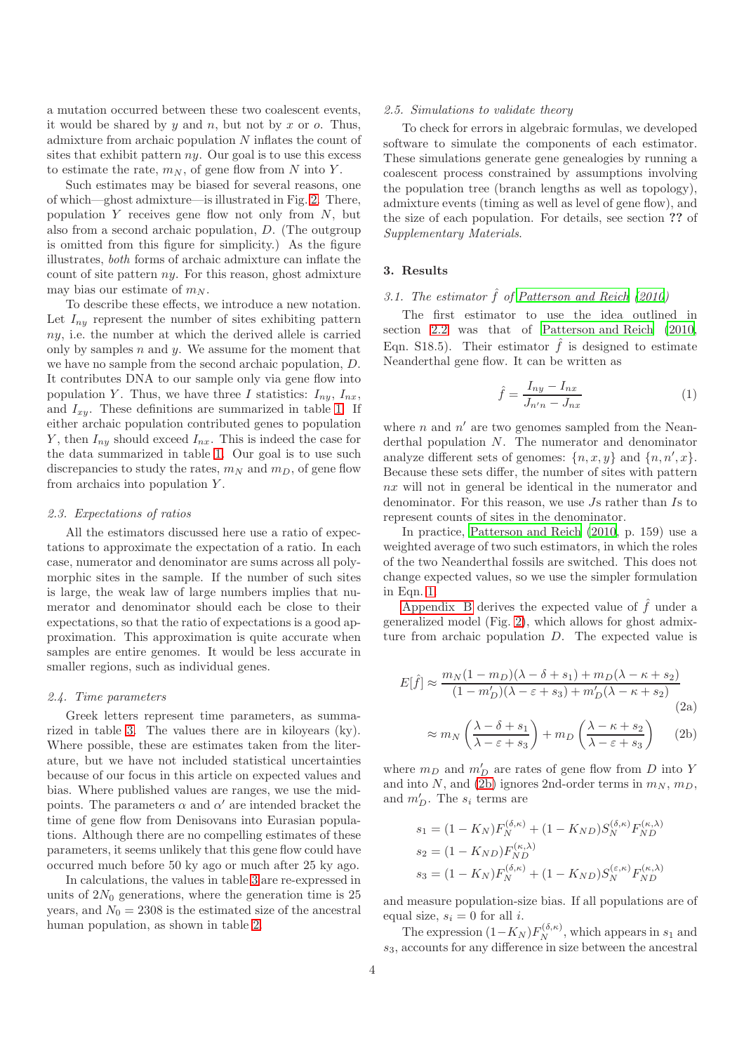a mutation occurred between these two coalescent events, it would be shared by  $y$  and  $n$ , but not by  $x$  or  $o$ . Thus, admixture from archaic population N inflates the count of sites that exhibit pattern  $ny$ . Our goal is to use this excess to estimate the rate,  $m_N$ , of gene flow from N into Y.

Such estimates may be biased for several reasons, one of which—ghost admixture—is illustrated in Fig. [2.](#page-24-0) There, population  $Y$  receives gene flow not only from  $N$ , but also from a second archaic population, D. (The outgroup is omitted from this figure for simplicity.) As the figure illustrates, both forms of archaic admixture can inflate the count of site pattern  $ny$ . For this reason, ghost admixture may bias our estimate of  $m_N$ .

To describe these effects, we introduce a new notation. Let  $I_{ny}$  represent the number of sites exhibiting pattern ny, i.e. the number at which the derived allele is carried only by samples  $n$  and  $y$ . We assume for the moment that we have no sample from the second archaic population, D. It contributes DNA to our sample only via gene flow into population Y. Thus, we have three I statistics:  $I_{nv}$ ,  $I_{nx}$ , and  $I_{xy}$ . These definitions are summarized in table [1.](#page-1-0) If either archaic population contributed genes to population Y, then  $I_{ny}$  should exceed  $I_{nx}$ . This is indeed the case for the data summarized in table [1.](#page-1-0) Our goal is to use such discrepancies to study the rates,  $m_N$  and  $m_D$ , of gene flow from archaics into population  $Y$ .

### 2.3. Expectations of ratios

All the estimators discussed here use a ratio of expectations to approximate the expectation of a ratio. In each case, numerator and denominator are sums across all polymorphic sites in the sample. If the number of such sites is large, the weak law of large numbers implies that numerator and denominator should each be close to their expectations, so that the ratio of expectations is a good approximation. This approximation is quite accurate when samples are entire genomes. It would be less accurate in smaller regions, such as individual genes.

### 2.4. Time parameters

Greek letters represent time parameters, as summarized in table [3.](#page-4-0) The values there are in kiloyears (ky). Where possible, these are estimates taken from the literature, but we have not included statistical uncertainties because of our focus in this article on expected values and bias. Where published values are ranges, we use the midpoints. The parameters  $\alpha$  and  $\alpha'$  are intended bracket the time of gene flow from Denisovans into Eurasian populations. Although there are no compelling estimates of these parameters, it seems unlikely that this gene flow could have occurred much before 50 ky ago or much after 25 ky ago.

In calculations, the values in table [3](#page-4-0) are re-expressed in units of  $2N_0$  generations, where the generation time is  $25$ years, and  $N_0 = 2308$  is the estimated size of the ancestral human population, as shown in table [2.](#page-2-0)

### <span id="page-3-2"></span>2.5. Simulations to validate theory

To check for errors in algebraic formulas, we developed software to simulate the components of each estimator. These simulations generate gene genealogies by running a coalescent process constrained by assumptions involving the population tree (branch lengths as well as topology), admixture events (timing as well as level of gene flow), and the size of each population. For details, see section ?? of Supplementary Materials.

### <span id="page-3-3"></span>3. Results

### 3.1. The estimator  $\hat{f}$  of [Patterson and Reich \(2010](#page-19-28))

The first estimator to use the idea outlined in section [2.2](#page-2-1) was that of [Patterson and Reich \(2010,](#page-19-28) Eqn. S18.5). Their estimator  $\hat{f}$  is designed to estimate Neanderthal gene flow. It can be written as

<span id="page-3-0"></span>
$$
\hat{f} = \frac{I_{ny} - I_{nx}}{J_{n'n} - J_{nx}}\tag{1}
$$

where  $n$  and  $n'$  are two genomes sampled from the Neanderthal population N. The numerator and denominator analyze different sets of genomes:  $\{n, x, y\}$  and  $\{n, n', x\}$ . Because these sets differ, the number of sites with pattern nx will not in general be identical in the numerator and denominator. For this reason, we use Js rather than Is to represent counts of sites in the denominator.

In practice, [Patterson and Reich \(2010,](#page-19-28) p. 159) use a weighted average of two such estimators, in which the roles of the two Neanderthal fossils are switched. This does not change expected values, so we use the simpler formulation in Eqn. [1.](#page-3-0)

[Appendix B](#page-12-0) derives the expected value of  $\hat{f}$  under a generalized model (Fig. [2\)](#page-24-0), which allows for ghost admixture from archaic population  $D$ . The expected value is

$$
E[\hat{f}] \approx \frac{m_N(1 - m_D)(\lambda - \delta + s_1) + m_D(\lambda - \kappa + s_2)}{(1 - m'_D)(\lambda - \varepsilon + s_3) + m'_D(\lambda - \kappa + s_2)}
$$
(2a)

<span id="page-3-4"></span><span id="page-3-1"></span>
$$
\approx m_N \left( \frac{\lambda - \delta + s_1}{\lambda - \varepsilon + s_3} \right) + m_D \left( \frac{\lambda - \kappa + s_2}{\lambda - \varepsilon + s_3} \right) \tag{2b}
$$

where  $m_D$  and  $m'_D$  are rates of gene flow from D into Y and into N, and [\(2b\)](#page-3-1) ignores 2nd-order terms in  $m_N$ ,  $m_D$ , and  $m'_D$ . The  $s_i$  terms are

$$
s_1 = (1 - K_N)F_N^{(\delta, \kappa)} + (1 - K_{ND})S_N^{(\delta, \kappa)}F_{ND}^{(\kappa, \lambda)}
$$
  
\n
$$
s_2 = (1 - K_{ND})F_{ND}^{(\kappa, \lambda)}
$$
  
\n
$$
s_3 = (1 - K_N)F_N^{(\delta, \kappa)} + (1 - K_{ND})S_N^{(\varepsilon, \kappa)}F_{ND}^{(\kappa, \lambda)}
$$

and measure population-size bias. If all populations are of equal size,  $s_i = 0$  for all i.

The expression  $(1 - K_N) F_N^{(\delta, \kappa)}$ , which appears in  $s_1$  and  $s<sub>3</sub>$ , accounts for any difference in size between the ancestral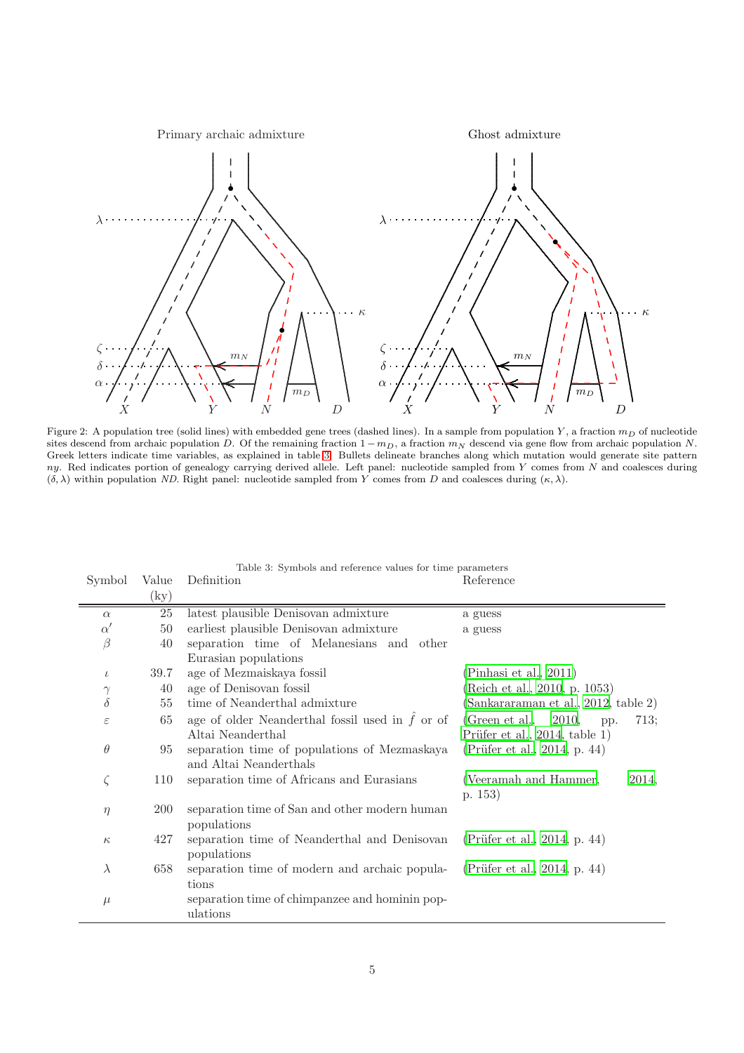

Figure 2: A population tree (solid lines) with embedded gene trees (dashed lines). In a sample from population Y, a fraction  $m<sub>D</sub>$  of nucleotide sites descend from archaic population D. Of the remaining fraction  $1 - m_D$ , a fraction  $m_N$  descend via gene flow from archaic population N. Greek letters indicate time variables, as explained in table [3.](#page-4-0) Bullets delineate branches along which mutation would generate site pattern ny. Red indicates portion of genealogy carrying derived allele. Left panel: nucleotide sampled from Y comes from N and coalesces during  $(\delta, \lambda)$  within population *ND*. Right panel: nucleotide sampled from Y comes from D and coalesces during  $(\kappa, \lambda)$ .

| Symbol        | Value      | Definition                                              | Reference                              |
|---------------|------------|---------------------------------------------------------|----------------------------------------|
|               | $\rm (ky)$ |                                                         |                                        |
| $\alpha$      | 25         | latest plausible Denisovan admixture                    | a guess                                |
| $\alpha'$     | 50         | earliest plausible Denisovan admixture                  | a guess                                |
| $\beta$       | 40         | separation time of Melanesians and other                |                                        |
|               |            | Eurasian populations                                    |                                        |
| $\iota$       | 39.7       | age of Mezmaiskaya fossil                               | (Pinhasi et al., 2011)                 |
| $\gamma$      | 40         | age of Denisovan fossil                                 | (Reich et al., 2010, p. 1053)          |
| $\delta$      | 55         | time of Neanderthal admixture                           | (Sankararaman et al., 2012, table 2)   |
| $\varepsilon$ | 65         | age of older Neanderthal fossil used in $\hat{f}$ or of | (Green et al., $2010$ ,<br>713;<br>pp. |
|               |            | Altai Neanderthal                                       | Prüfer et al., $2014$ , table 1)       |
| $\theta$      | 95         | separation time of populations of Mezmaskaya            | (Prüfer et al., 2014, p. 44)           |
|               |            | and Altai Neanderthals                                  |                                        |
| $\zeta$       | 110        | separation time of Africans and Eurasians               | (Veeramah and Hammer,<br>2014,         |
|               |            |                                                         | p. $153)$                              |
| $\eta$        | 200        | separation time of San and other modern human           |                                        |
|               |            | populations                                             |                                        |
| $\kappa$      | 427        | separation time of Neanderthal and Denisovan            | (Prüfer et al., 2014, p. 44)           |
|               |            | populations                                             |                                        |
| $\lambda$     | 658        | separation time of modern and archaic popula-           | (Prüfer et al., 2014, p. 44)           |
|               |            | tions                                                   |                                        |
| $\mu$         |            | separation time of chimpanzee and hominin pop-          |                                        |
|               |            | ulations                                                |                                        |

<span id="page-4-0"></span>Table 3: Symbols and reference values for time parameters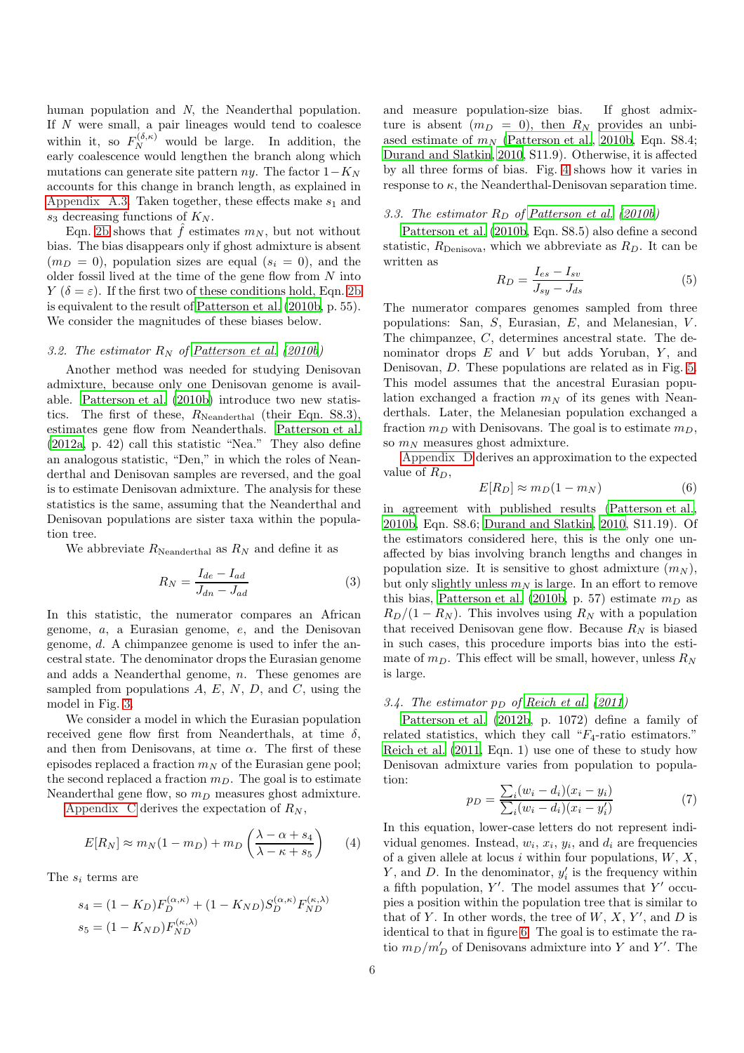human population and N, the Neanderthal population. If N were small, a pair lineages would tend to coalesce within it, so  $F_N^{(\delta,\kappa)}$  would be large. In addition, the early coalescence would lengthen the branch along which mutations can generate site pattern  $ny$ . The factor  $1-K_N$ accounts for this change in branch length, as explained in [Appendix A.3.](#page-11-1) Taken together, these effects make  $s_1$  and  $s_3$  decreasing functions of  $K_N$ .

Eqn. [2b](#page-3-1) shows that  $\hat{f}$  estimates  $m_N$ , but not without bias. The bias disappears only if ghost admixture is absent  $(m_D = 0)$ , population sizes are equal  $(s_i = 0)$ , and the older fossil lived at the time of the gene flow from  $N$  into Y  $(\delta = \varepsilon)$ . If the first two of these conditions hold, Eqn. [2b](#page-3-1) is equivalent to the result of [Patterson et al. \(2010b](#page-19-30), p. 55). We consider the magnitudes of these biases below.

### <span id="page-5-2"></span>3.2. The estimator  $R_N$  of [Patterson et al. \(2010b](#page-19-30))

Another method was needed for studying Denisovan admixture, because only one Denisovan genome is available. [Patterson et al. \(2010b\)](#page-19-30) introduce two new statistics. The first of these,  $R_{\text{Neanderthal}}$  (their Eqn. S8.3), estimates gene flow from Neanderthals. [Patterson et al.](#page-19-31) [\(2012a,](#page-19-31) p. 42) call this statistic "Nea." They also define an analogous statistic, "Den," in which the roles of Neanderthal and Denisovan samples are reversed, and the goal is to estimate Denisovan admixture. The analysis for these statistics is the same, assuming that the Neanderthal and Denisovan populations are sister taxa within the population tree.

We abbreviate  $R_{\text{Neanderthal}}$  as  $R_N$  and define it as

<span id="page-5-1"></span>
$$
R_N = \frac{I_{de} - I_{ad}}{J_{dn} - J_{ad}}\tag{3}
$$

In this statistic, the numerator compares an African genome, a, a Eurasian genome, e, and the Denisovan genome, d. A chimpanzee genome is used to infer the ancestral state. The denominator drops the Eurasian genome and adds a Neanderthal genome, n. These genomes are sampled from populations  $A, E, N, D$ , and  $C$ , using the model in Fig. [3.](#page-25-0)

We consider a model in which the Eurasian population received gene flow first from Neanderthals, at time  $\delta$ , and then from Denisovans, at time  $\alpha$ . The first of these episodes replaced a fraction  $m_N$  of the Eurasian gene pool; the second replaced a fraction  $m_D$ . The goal is to estimate Neanderthal gene flow, so  $m_D$  measures ghost admixture.

[Appendix C](#page-13-0) derives the expectation of  $R_N$ ,

<span id="page-5-0"></span>
$$
E[R_N] \approx m_N(1 - m_D) + m_D \left(\frac{\lambda - \alpha + s_4}{\lambda - \kappa + s_5}\right) \tag{4}
$$

The  $s_i$  terms are

$$
s_4 = (1 - K_D)F_D^{(\alpha, \kappa)} + (1 - K_{ND})S_D^{(\alpha, \kappa)}F_{ND}^{(\kappa, \lambda)}
$$
  

$$
s_5 = (1 - K_{ND})F_{ND}^{(\kappa, \lambda)}
$$

and measure population-size bias. If ghost admixture is absent  $(m_D = 0)$ , then  $R_N$  provides an unbiased estimate of  $m_N$  [\(Patterson et al.](#page-19-30), [2010b,](#page-19-30) Eqn. S8.4; [Durand and Slatkin](#page-19-32), [2010](#page-19-32), S11.9). Otherwise, it is affected by all three forms of bias. Fig. [4](#page-26-0) shows how it varies in response to  $\kappa$ , the Neanderthal-Denisovan separation time.

### <span id="page-5-5"></span>3.3. The estimator  $R_D$  of [Patterson et al. \(2010b](#page-19-30))

[Patterson et al. \(2010b,](#page-19-30) Eqn. S8.5) also define a second statistic,  $R_{\text{Denisova}}$ , which we abbreviate as  $R_D$ . It can be written as

<span id="page-5-3"></span>
$$
R_D = \frac{I_{es} - I_{sv}}{J_{sy} - J_{ds}}\tag{5}
$$

The numerator compares genomes sampled from three populations: San,  $S$ , Eurasian,  $E$ , and Melanesian,  $V$ . The chimpanzee, C, determines ancestral state. The denominator drops  $E$  and  $V$  but adds Yoruban,  $Y$ , and Denisovan, D. These populations are related as in Fig. [5.](#page-27-0) This model assumes that the ancestral Eurasian population exchanged a fraction  $m_N$  of its genes with Neanderthals. Later, the Melanesian population exchanged a fraction  $m_D$  with Denisovans. The goal is to estimate  $m_D$ , so  $m_N$  measures ghost admixture.

[Appendix D](#page-15-0) derives an approximation to the expected value of  $R_D$ ,

<span id="page-5-4"></span>
$$
E[R_D] \approx m_D(1 - m_N) \tag{6}
$$

in agreement with published results [\(Patterson et al.,](#page-19-30) [2010b](#page-19-30), Eqn. S8.6; [Durand and Slatkin, 2010](#page-19-32), S11.19). Of the estimators considered here, this is the only one unaffected by bias involving branch lengths and changes in population size. It is sensitive to ghost admixture  $(m_N)$ , but only slightly unless  $m_N$  is large. In an effort to remove this bias, [Patterson et al. \(2010b,](#page-19-30) p. 57) estimate  $m_D$  as  $R_D/(1 - R_N)$ . This involves using  $R_N$  with a population that received Denisovan gene flow. Because  $R_N$  is biased in such cases, this procedure imports bias into the estimate of  $m_D$ . This effect will be small, however, unless  $R_N$ is large.

### 3.4. The estimator  $p_D$  of [Reich et al. \(2011](#page-19-18))

[Patterson et al. \(2012b,](#page-19-16) p. 1072) define a family of related statistics, which they call " $F_4$ -ratio estimators." [Reich et al. \(2011,](#page-19-18) Eqn. 1) use one of these to study how Denisovan admixture varies from population to population:

<span id="page-5-6"></span>
$$
p_D = \frac{\sum_i (w_i - d_i)(x_i - y_i)}{\sum_i (w_i - d_i)(x_i - y'_i)}
$$
(7)

In this equation, lower-case letters do not represent individual genomes. Instead,  $w_i$ ,  $x_i$ ,  $y_i$ , and  $d_i$  are frequencies of a given allele at locus i within four populations,  $W, X$ ,  $Y$ , and  $D$ . In the denominator,  $y_i'$  is the frequency within a fifth population,  $Y'$ . The model assumes that  $Y'$  occupies a position within the population tree that is similar to that of Y. In other words, the tree of  $W, X, Y'$ , and D is identical to that in figure [6.](#page-28-0) The goal is to estimate the ratio  $m_D/m'_D$  of Denisovans admixture into Y and Y'. The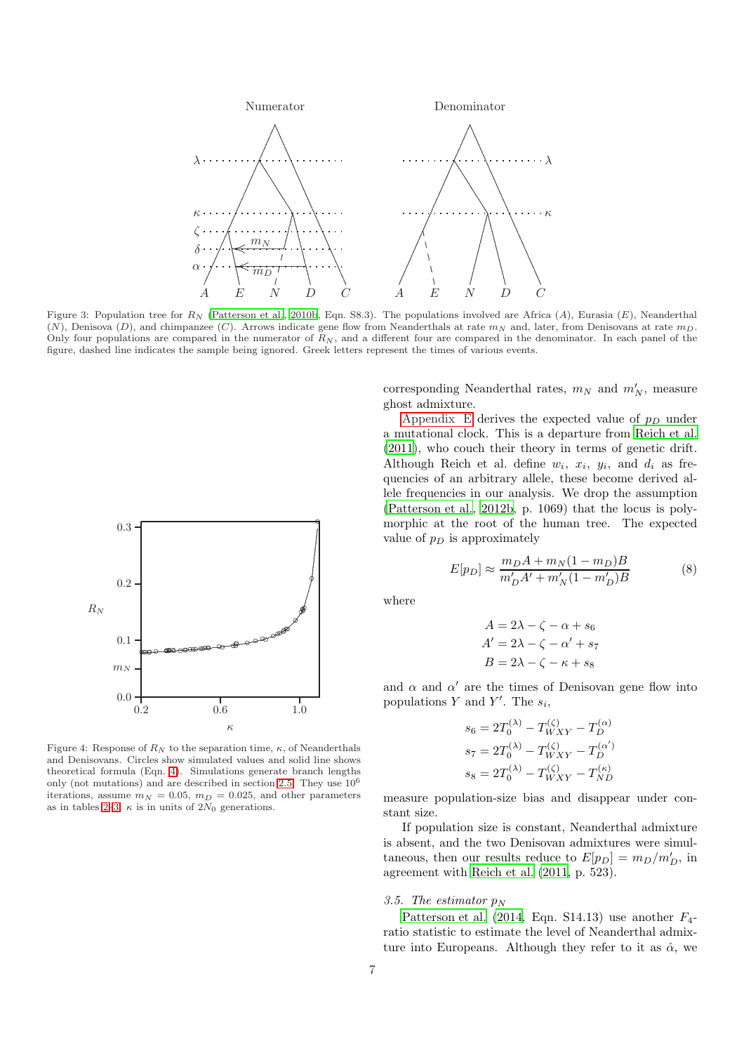

Figure 3: Population tree for  $R_N$  [\(Patterson et al., 2010b](#page-19-30), Eqn. S8.3). The populations involved are Africa (A), Eurasia (E), Neanderthal (N), Denisova (D), and chimpanzee (C). Arrows indicate gene flow from Neanderthals at rate  $m_N$  and, later, from Denisovans at rate  $m_D$ . Only four populations are compared in the numerator of  $R_N$ , and a different four are compared in the denominator. In each panel of the figure, dashed line indicates the sample being ignored. Greek letters represent the times of various events.



Figure 4: Response of  $R_N$  to the separation time,  $\kappa$ , of Neanderthals and Denisovans. Circles show simulated values and solid line shows theoretical formula (Eqn. [4\)](#page-5-0). Simulations generate branch lengths only (not mutations) and are described in section [2.5.](#page-3-2) They use 10<sup>6</sup> iterations, assume  $m_N = 0.05$ ,  $m_D = 0.025$ , and other parameters as in tables [2–](#page-2-0)[3.](#page-4-0)  $\kappa$  is in units of 2 $N_0$  generations.

corresponding Neanderthal rates,  $m_N$  and  $m'_N$ , measure ghost admixture.

[Appendix E](#page-17-0) derives the expected value of  $p_D$  under a mutational clock. This is a departure from [Reich et al.](#page-19-18) [\(2011\)](#page-19-18), who couch their theory in terms of genetic drift. Although Reich et al. define  $w_i$ ,  $x_i$ ,  $y_i$ , and  $d_i$  as frequencies of an arbitrary allele, these become derived allele frequencies in our analysis. We drop the assumption [\(Patterson et al., 2012b,](#page-19-16) p. 1069) that the locus is polymorphic at the root of the human tree. The expected value of  $p_D$  is approximately

<span id="page-6-0"></span>
$$
E[p_D] \approx \frac{m_D A + m_N (1 - m_D) B}{m'_D A' + m'_N (1 - m'_D) B}
$$
(8)

where

$$
A = 2\lambda - \zeta - \alpha + s_6
$$
  
 
$$
A' = 2\lambda - \zeta - \alpha' + s_7
$$
  
 
$$
B = 2\lambda - \zeta - \kappa + s_8
$$

and  $\alpha$  and  $\alpha'$  are the times of Denisovan gene flow into populations Y and Y'. The  $s_i$ ,

$$
\begin{split} s_6 &= 2T_0^{(\lambda)} - T_{WXY}^{(\zeta)} - T_D^{(\alpha)} \\ s_7 &= 2T_0^{(\lambda)} - T_{WXY}^{(\zeta)} - T_D^{(\alpha')} \\ s_8 &= 2T_0^{(\lambda)} - T_{WXY}^{(\zeta)} - T_{ND}^{(\kappa)} \end{split}
$$

measure population-size bias and disappear under constant size.

If population size is constant, Neanderthal admixture is absent, and the two Denisovan admixtures were simultaneous, then our results reduce to  $E[p_D] = m_D/m'_D$ , in agreement with [Reich et al. \(2011,](#page-19-18) p. 523).

### 3.5. The estimator  $p_N$

Patterson et al.  $(2014,$  Eqn. S14.13) use another  $F_4$ ratio statistic to estimate the level of Neanderthal admixture into Europeans. Although they refer to it as  $\hat{\alpha}$ , we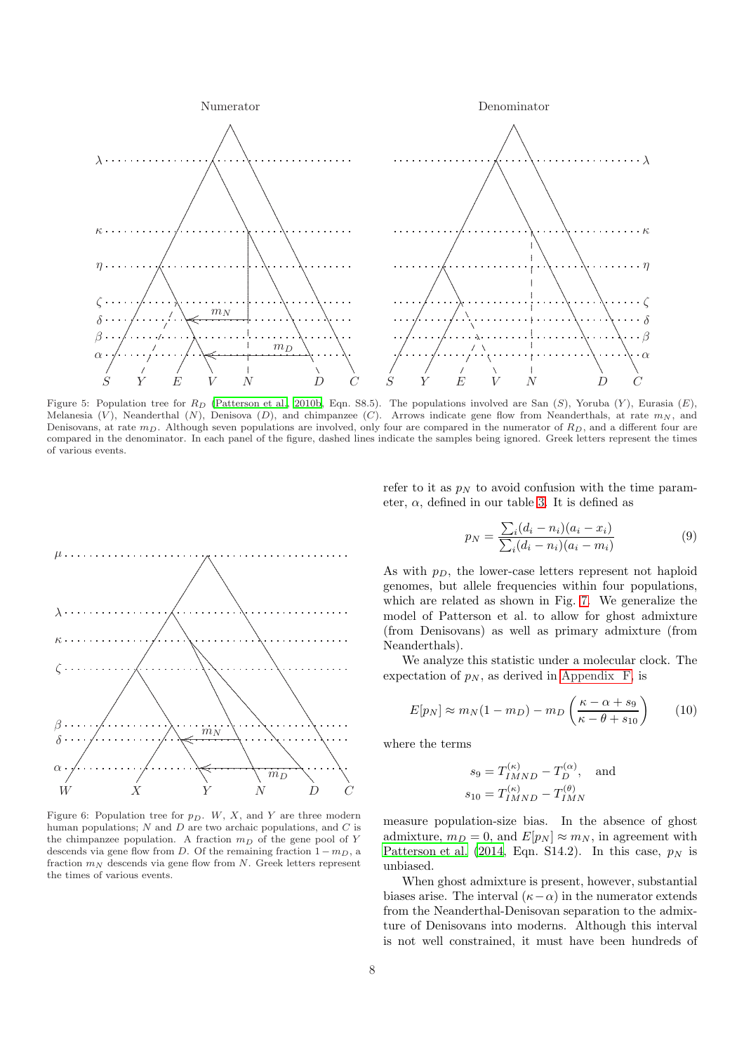

Figure 5: Population tree for  $R_D$  (Patterson et al., 2010b, Eqn. S8.5). The populations involved are San (S), Yoruba (Y), Eurasia (E), Melanesia (V), Neanderthal (N), Denisova (D), and chimpanzee (C). Arrows indicate gene flow from Neanderthals, at rate  $m_N$ , and Denisovans, at rate  $m_D$ . Although seven populations are involved, only four are compared in the numerator of  $R_D$ , and a different four are compared in the denominator. In each panel of the figure, dashed lines indicate the samples being ignored. Greek letters represent the times of various events.



Figure 6: Population tree for  $p_D$ . W, X, and Y are three modern human populations;  $N$  and  $D$  are two archaic populations, and  $C$  is the chimpanzee population. A fraction  $m_D$  of the gene pool of Y descends via gene flow from D. Of the remaining fraction  $1 - m_D$ , a fraction  $m_N$  descends via gene flow from N. Greek letters represent the times of various events.

refer to it as  $p_N$  to avoid confusion with the time parameter,  $\alpha$ , defined in our table 3. It is defined as

<span id="page-7-1"></span>
$$
p_N = \frac{\sum_i (d_i - n_i)(a_i - x_i)}{\sum_i (d_i - n_i)(a_i - m_i)}
$$
(9)

As with  $p_D$ , the lower-case letters represent not haploid genomes, but allele frequencies within four populations. which are related as shown in Fig. 7. We generalize the model of Patterson et al. to allow for ghost admixture (from Denisovans) as well as primary admixture (from Neanderthals).

We analyze this statistic under a molecular clock. The expectation of  $p_N$ , as derived in Appendix F, is

<span id="page-7-0"></span>
$$
E[p_N] \approx m_N (1 - m_D) - m_D \left(\frac{\kappa - \alpha + s_9}{\kappa - \theta + s_{10}}\right) \tag{10}
$$

where the terms

$$
s_9 = T_{IMND}^{(\kappa)} - T_D^{(\alpha)}, \text{ and}
$$
  

$$
s_{10} = T_{IMND}^{(\kappa)} - T_{IMN}^{(\theta)}
$$

measure population-size bias. In the absence of ghost admixture,  $m_D = 0$ , and  $E[p_N] \approx m_N$ , in agreement with Patterson et al. (2014, Eqn. S14.2). In this case,  $p<sub>N</sub>$  is unbiased.

When ghost admixture is present, however, substantial biases arise. The interval  $(\kappa - \alpha)$  in the numerator extends from the Neanderthal-Denisovan separation to the admixture of Denisovans into moderns. Although this interval is not well constrained, it must have been hundreds of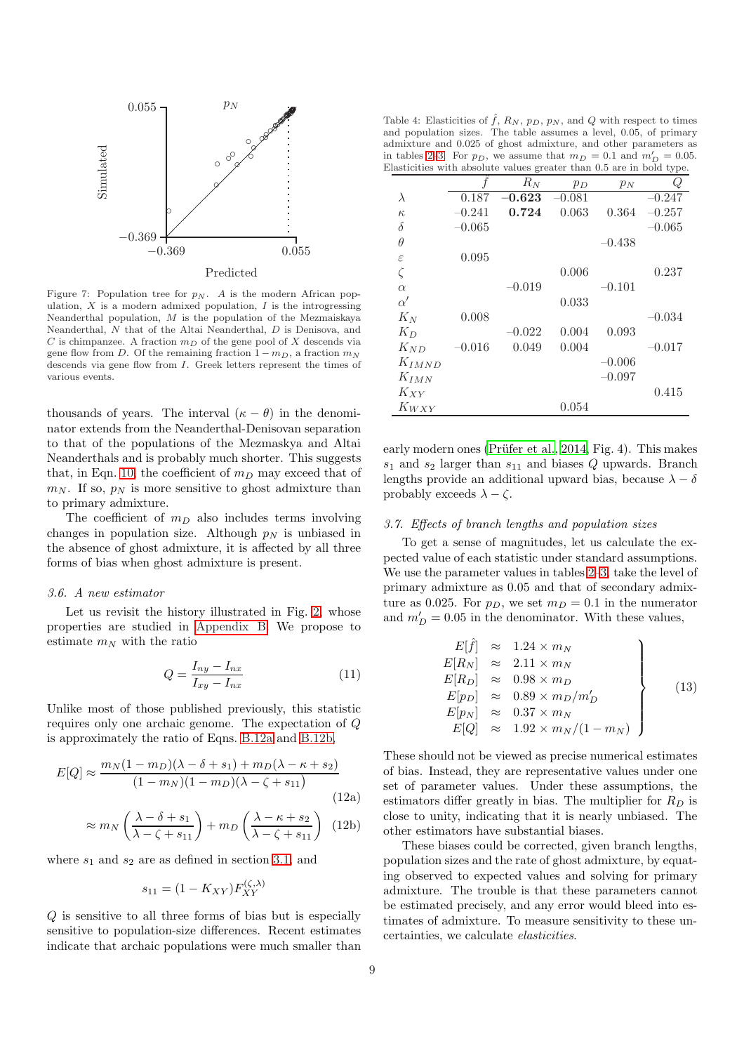

<span id="page-8-0"></span>Figure 7: Population tree for  $p_N$ . A is the modern African population,  $X$  is a modern admixed population,  $I$  is the introgressing Neanderthal population,  $M$  is the population of the Mezmaiskaya Neanderthal, N that of the Altai Neanderthal, D is Denisova, and  ${\cal C}$  is chimpanzee. A fraction  $m_D$  of the gene pool of  $X$  descends via gene flow from D. Of the remaining fraction  $1 - m_D$ , a fraction  $m_N$ descends via gene flow from I. Greek letters represent the times of various events.

thousands of years. The interval  $(\kappa - \theta)$  in the denominator extends from the Neanderthal-Denisovan separation to that of the populations of the Mezmaskya and Altai Neanderthals and is probably much shorter. This suggests that, in Eqn. [10,](#page-7-0) the coefficient of  $m<sub>D</sub>$  may exceed that of  $m_N$ . If so,  $p_N$  is more sensitive to ghost admixture than to primary admixture.

The coefficient of  $m_D$  also includes terms involving changes in population size. Although  $p_N$  is unbiased in the absence of ghost admixture, it is affected by all three forms of bias when ghost admixture is present.

### 3.6. A new estimator

Let us revisit the history illustrated in Fig. [2,](#page-24-0) whose properties are studied in [Appendix B.](#page-12-0) We propose to estimate  $m_N$  with the ratio

<span id="page-8-2"></span>
$$
Q = \frac{I_{ny} - I_{nx}}{I_{xy} - I_{nx}}\tag{11}
$$

Unlike most of those published previously, this statistic requires only one archaic genome. The expectation of Q is approximately the ratio of Eqns. [B.12a](#page-13-1) and [B.12b,](#page-13-2)

$$
E[Q] \approx \frac{m_N (1 - m_D)(\lambda - \delta + s_1) + m_D(\lambda - \kappa + s_2)}{(1 - m_N)(1 - m_D)(\lambda - \zeta + s_{11})}
$$
(12a)

$$
\approx m_N \left( \frac{\lambda - \delta + s_1}{\lambda - \zeta + s_{11}} \right) + m_D \left( \frac{\lambda - \kappa + s_2}{\lambda - \zeta + s_{11}} \right) (12b)
$$

where  $s_1$  and  $s_2$  are as defined in section [3.1,](#page-3-3) and

$$
s_{11} = (1 - K_{XY}) F_{XY}^{(\zeta, \lambda)}
$$

Q is sensitive to all three forms of bias but is especially sensitive to population-size differences. Recent estimates indicate that archaic populations were much smaller than

<span id="page-8-1"></span>Table 4: Elasticities of  $\hat{f}$ ,  $R_N$ ,  $p_D$ ,  $p_N$ , and Q with respect to times and population sizes. The table assumes a level, 0.05, of primary admixture and 0.025 of ghost admixture, and other parameters as in tables [2](#page-2-0)[–3.](#page-4-0) For  $p_D$ , we assume that  $m_D = 0.1$  and  $m'_D = 0.05$ . Elasticities with absolute values greater than 0.5 are in bold type.

|          | ပ        |       |          | ◡∸       |
|----------|----------|-------|----------|----------|
|          | $R_N$    | $p_D$ | $p_N$    | Q        |
| 0.187    | $-0.623$ | 0.081 |          | $-0.247$ |
| $-0.241$ | 0.724    | 0.063 | 0.364    | $-0.257$ |
| $-0.065$ |          |       |          | $-0.065$ |
|          |          |       | $-0.438$ |          |
| 0.095    |          |       |          |          |
|          |          | 0.006 |          | 0.237    |
|          | $-0.019$ |       | $-0.101$ |          |
|          |          | 0.033 |          |          |
| 0.008    |          |       |          | $-0.034$ |
|          | $-0.022$ | 0.004 | 0.093    |          |
| $-0.016$ | 0.049    | 0.004 |          | $-0.017$ |
|          |          |       | $-0.006$ |          |
|          |          |       | $-0.097$ |          |
|          |          |       |          | 0.415    |
|          |          | 0.054 |          |          |
|          |          |       |          |          |

early modern ones (Prüfer et al., 2014, Fig. 4). This makes  $s_1$  and  $s_2$  larger than  $s_{11}$  and biases Q upwards. Branch lengths provide an additional upward bias, because  $\lambda - \delta$ probably exceeds  $\lambda - \zeta$ .

### 3.7. Effects of branch lengths and population sizes

To get a sense of magnitudes, let us calculate the expected value of each statistic under standard assumptions. We use the parameter values in tables [2](#page-2-0)[–3,](#page-4-0) take the level of primary admixture as 0.05 and that of secondary admixture as 0.025. For  $p_D$ , we set  $m_D = 0.1$  in the numerator and  $m'_D = 0.05$  in the denominator. With these values,

$$
E[\hat{f}] \approx 1.24 \times m_N
$$
  
\n
$$
E[R_N] \approx 2.11 \times m_N
$$
  
\n
$$
E[R_D] \approx 0.98 \times m_D
$$
  
\n
$$
E[p_N] \approx 0.89 \times m_D/m'_D
$$
  
\n
$$
E[p_N] \approx 0.37 \times m_N
$$
  
\n
$$
E[Q] \approx 1.92 \times m_N/(1 - m_N)
$$
\n(13)

<span id="page-8-3"></span>These should not be viewed as precise numerical estimates of bias. Instead, they are representative values under one set of parameter values. Under these assumptions, the estimators differ greatly in bias. The multiplier for  $R_D$  is close to unity, indicating that it is nearly unbiased. The other estimators have substantial biases.

These biases could be corrected, given branch lengths, population sizes and the rate of ghost admixture, by equating observed to expected values and solving for primary admixture. The trouble is that these parameters cannot be estimated precisely, and any error would bleed into estimates of admixture. To measure sensitivity to these uncertainties, we calculate elasticities.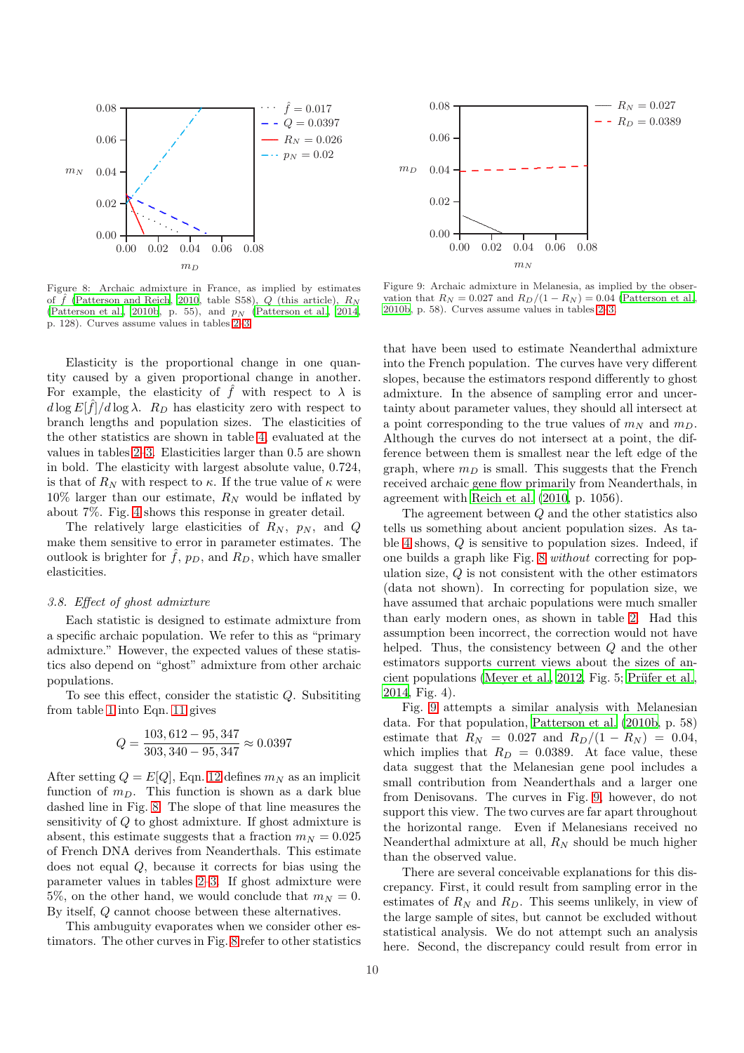

<span id="page-9-0"></span>Figure 8: Archaic admixture in France, as implied by estimates of  $\ddot{f}$  [\(Patterson and Reich](#page-19-28), [2010](#page-19-28), table S58),  $Q$  (this article),  $R_N$ [\(Patterson et al.](#page-19-33), [2010b](#page-19-30), p. 55), and  $p_N$  (Patterson et al., [2014](#page-19-33), p. 128). Curves assume values in tables [2](#page-2-0)[–3.](#page-4-0)

Elasticity is the proportional change in one quantity caused by a given proportional change in another. For example, the elasticity of  $\hat{f}$  with respect to  $\lambda$  is  $d \log E[\hat{f}]/d \log \lambda$ .  $R_D$  has elasticity zero with respect to branch lengths and population sizes. The elasticities of the other statistics are shown in table [4,](#page-8-1) evaluated at the values in tables [2–](#page-2-0)[3.](#page-4-0) Elasticities larger than 0.5 are shown in bold. The elasticity with largest absolute value, 0.724, is that of  $R_N$  with respect to  $\kappa$ . If the true value of  $\kappa$  were  $10\%$  larger than our estimate,  $R_N$  would be inflated by about 7%. Fig. [4](#page-26-0) shows this response in greater detail.

The relatively large elasticities of  $R_N$ ,  $p_N$ , and Q make them sensitive to error in parameter estimates. The outlook is brighter for  $\tilde{f}$ ,  $p_D$ , and  $R_D$ , which have smaller elasticities.

### 3.8. Effect of ghost admixture

Each statistic is designed to estimate admixture from a specific archaic population. We refer to this as "primary admixture." However, the expected values of these statistics also depend on "ghost" admixture from other archaic populations.

To see this effect, consider the statistic Q. Subsititing from table [1](#page-1-0) into Eqn. [11](#page-8-2) gives

$$
Q = \frac{103,612 - 95,347}{303,340 - 95,347} \approx 0.0397
$$

After setting  $Q = E[Q]$ , Eqn. [12](#page-8-3) defines  $m_N$  as an implicit function of  $m_D$ . This function is shown as a dark blue dashed line in Fig. [8.](#page-9-0) The slope of that line measures the sensitivity of Q to ghost admixture. If ghost admixture is absent, this estimate suggests that a fraction  $m_N = 0.025$ of French DNA derives from Neanderthals. This estimate does not equal Q, because it corrects for bias using the parameter values in tables [2](#page-2-0)[–3.](#page-4-0) If ghost admixture were 5%, on the other hand, we would conclude that  $m_N = 0$ . By itself, Q cannot choose between these alternatives.

This ambuguity evaporates when we consider other estimators. The other curves in Fig. [8](#page-9-0) refer to other statistics



<span id="page-9-1"></span>Figure 9: Archaic admixture in Melanesia, as implied by the observation that  $R_N = 0.027$  and  $R_D/(1 - R_N) = 0.04$  [\(Patterson et al.](#page-19-30), [2010b](#page-19-30), p. 58). Curves assume values in tables [2–](#page-2-0)[3.](#page-4-0)

that have been used to estimate Neanderthal admixture into the French population. The curves have very different slopes, because the estimators respond differently to ghost admixture. In the absence of sampling error and uncertainty about parameter values, they should all intersect at a point corresponding to the true values of  $m_N$  and  $m_D$ . Although the curves do not intersect at a point, the difference between them is smallest near the left edge of the graph, where  $m_D$  is small. This suggests that the French received archaic gene flow primarily from Neanderthals, in agreement with [Reich et al. \(2010,](#page-19-17) p. 1056).

The agreement between Q and the other statistics also tells us something about ancient population sizes. As table [4](#page-8-1) shows, Q is sensitive to population sizes. Indeed, if one builds a graph like Fig. [8](#page-9-0) without correcting for population size,  $Q$  is not consistent with the other estimators (data not shown). In correcting for population size, we have assumed that archaic populations were much smaller than early modern ones, as shown in table [2.](#page-2-0) Had this assumption been incorrect, the correction would not have helped. Thus, the consistency between Q and the other estimators supports current views about the sizes of an-cient populations [\(Meyer et al., 2012,](#page-19-15) Fig. 5; Prüfer et al., [2014,](#page-19-27) Fig. 4).

Fig. [9](#page-9-1) attempts a similar analysis with Melanesian data. For that population, [Patterson et al. \(2010b,](#page-19-30) p. 58) estimate that  $R_N = 0.027$  and  $R_D/(1 - R_N) = 0.04$ , which implies that  $R_D = 0.0389$ . At face value, these data suggest that the Melanesian gene pool includes a small contribution from Neanderthals and a larger one from Denisovans. The curves in Fig. [9,](#page-9-1) however, do not support this view. The two curves are far apart throughout the horizontal range. Even if Melanesians received no Neanderthal admixture at all,  $R_N$  should be much higher than the observed value.

There are several conceivable explanations for this discrepancy. First, it could result from sampling error in the estimates of  $R_N$  and  $R_D$ . This seems unlikely, in view of the large sample of sites, but cannot be excluded without statistical analysis. We do not attempt such an analysis here. Second, the discrepancy could result from error in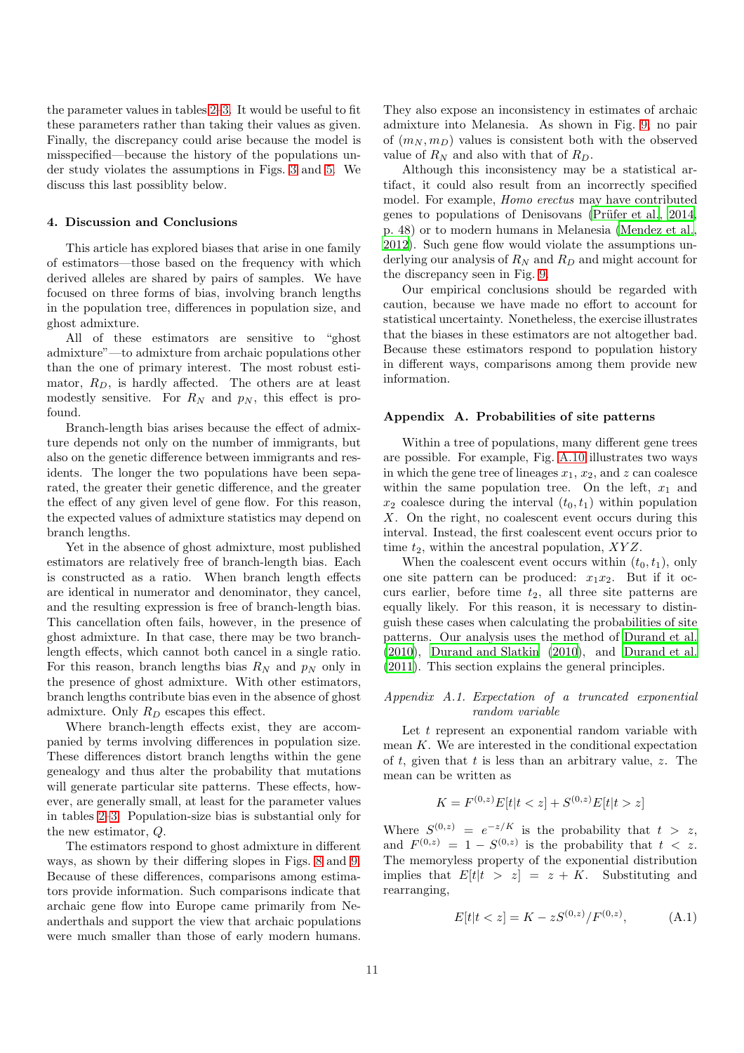the parameter values in tables [2–](#page-2-0)[3.](#page-4-0) It would be useful to fit these parameters rather than taking their values as given. Finally, the discrepancy could arise because the model is misspecified—because the history of the populations under study violates the assumptions in Figs. [3](#page-25-0) and [5.](#page-27-0) We discuss this last possiblity below.

### 4. Discussion and Conclusions

This article has explored biases that arise in one family of estimators—those based on the frequency with which derived alleles are shared by pairs of samples. We have focused on three forms of bias, involving branch lengths in the population tree, differences in population size, and ghost admixture.

All of these estimators are sensitive to "ghost admixture"—to admixture from archaic populations other than the one of primary interest. The most robust estimator,  $R_D$ , is hardly affected. The others are at least modestly sensitive. For  $R_N$  and  $p_N$ , this effect is profound.

Branch-length bias arises because the effect of admixture depends not only on the number of immigrants, but also on the genetic difference between immigrants and residents. The longer the two populations have been separated, the greater their genetic difference, and the greater the effect of any given level of gene flow. For this reason, the expected values of admixture statistics may depend on branch lengths.

Yet in the absence of ghost admixture, most published estimators are relatively free of branch-length bias. Each is constructed as a ratio. When branch length effects are identical in numerator and denominator, they cancel, and the resulting expression is free of branch-length bias. This cancellation often fails, however, in the presence of ghost admixture. In that case, there may be two branchlength effects, which cannot both cancel in a single ratio. For this reason, branch lengths bias  $R_N$  and  $p_N$  only in the presence of ghost admixture. With other estimators, branch lengths contribute bias even in the absence of ghost admixture. Only  $R_D$  escapes this effect.

Where branch-length effects exist, they are accompanied by terms involving differences in population size. These differences distort branch lengths within the gene genealogy and thus alter the probability that mutations will generate particular site patterns. These effects, however, are generally small, at least for the parameter values in tables [2–](#page-2-0)[3.](#page-4-0) Population-size bias is substantial only for the new estimator, Q.

The estimators respond to ghost admixture in different ways, as shown by their differing slopes in Figs. [8](#page-9-0) and [9.](#page-9-1) Because of these differences, comparisons among estimators provide information. Such comparisons indicate that archaic gene flow into Europe came primarily from Neanderthals and support the view that archaic populations were much smaller than those of early modern humans.

They also expose an inconsistency in estimates of archaic admixture into Melanesia. As shown in Fig. [9,](#page-9-1) no pair of  $(m_N, m_D)$  values is consistent both with the observed value of  $R_N$  and also with that of  $R_D$ .

Although this inconsistency may be a statistical artifact, it could also result from an incorrectly specified model. For example, Homo erectus may have contributed genes to populations of Denisovans (Prüfer et al., [2014,](#page-19-27) p. 48) or to modern humans in Melanesia [\(Mendez et al.,](#page-19-8) [2012\)](#page-19-8). Such gene flow would violate the assumptions underlying our analysis of  $R_N$  and  $R_D$  and might account for the discrepancy seen in Fig. [9.](#page-9-1)

Our empirical conclusions should be regarded with caution, because we have made no effort to account for statistical uncertainty. Nonetheless, the exercise illustrates that the biases in these estimators are not altogether bad. Because these estimators respond to population history in different ways, comparisons among them provide new information.

### Appendix A. Probabilities of site patterns

Within a tree of populations, many different gene trees are possible. For example, Fig. [A.10](#page-11-2) illustrates two ways in which the gene tree of lineages  $x_1, x_2$ , and z can coalesce within the same population tree. On the left,  $x_1$  and  $x_2$  coalesce during the interval  $(t_0, t_1)$  within population X. On the right, no coalescent event occurs during this interval. Instead, the first coalescent event occurs prior to time  $t_2$ , within the ancestral population,  $XYZ$ .

When the coalescent event occurs within  $(t_0, t_1)$ , only one site pattern can be produced:  $x_1x_2$ . But if it occurs earlier, before time  $t_2$ , all three site patterns are equally likely. For this reason, it is necessary to distinguish these cases when calculating the probabilities of site patterns. Our analysis uses the method of [Durand et al.](#page-19-34) [\(2010\)](#page-19-34), [Durand and Slatkin \(2010\)](#page-19-32), and [Durand et al.](#page-19-13) [\(2011\)](#page-19-13). This section explains the general principles.

### <span id="page-10-1"></span>Appendix A.1. Expectation of a truncated exponential random variable

Let  $t$  represent an exponential random variable with mean  $K$ . We are interested in the conditional expectation of t, given that t is less than an arbitrary value, z. The mean can be written as

$$
K = F^{(0,z)}E[t|t < z] + S^{(0,z)}E[t|t > z]
$$

Where  $S^{(0,z)} = e^{-z/K}$  is the probability that  $t > z$ , and  $F^{(0,z)} = 1 - S^{(0,z)}$  is the probability that  $t < z$ . The memoryless property of the exponential distribution implies that  $E[t|t > z] = z + K$ . Substituting and rearranging,

<span id="page-10-0"></span>
$$
E[t|t < z] = K - zS^{(0,z)}/F^{(0,z)},\tag{A.1}
$$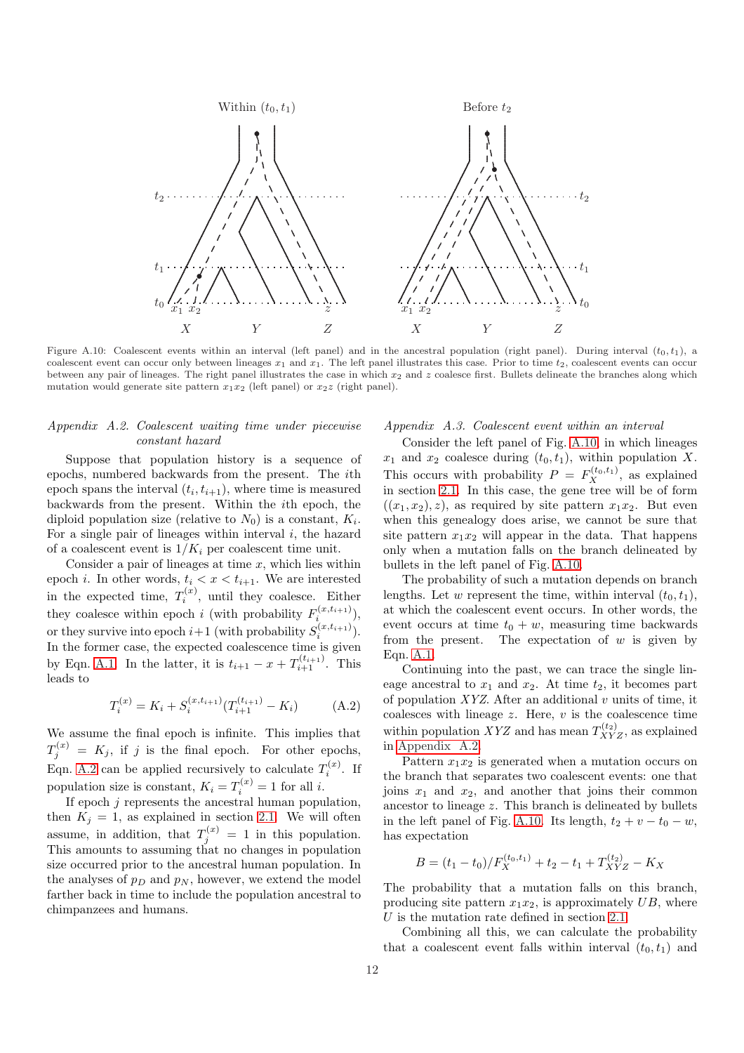

<span id="page-11-2"></span>Figure A.10: Coalescent events within an interval (left panel) and in the ancestral population (right panel). During interval  $(t_0, t_1)$ , a coalescent event can occur only between lineages  $x_1$  and  $x_1$ . The left panel illustrates this case. Prior to time  $t_2$ , coalescent events can occur between any pair of lineages. The right panel illustrates the case in which  $x_2$  and  $z$  coalesce first. Bullets delineate the branches along which mutation would generate site pattern  $x_1x_2$  (left panel) or  $x_2z$  (right panel).

### <span id="page-11-0"></span>Appendix A.2. Coalescent waiting time under piecewise constant hazard

Suppose that population history is a sequence of epochs, numbered backwards from the present. The ith epoch spans the interval  $(t_i, t_{i+1})$ , where time is measured backwards from the present. Within the ith epoch, the diploid population size (relative to  $N_0$ ) is a constant,  $K_i$ . For a single pair of lineages within interval  $i$ , the hazard of a coalescent event is  $1/K_i$  per coalescent time unit.

Consider a pair of lineages at time  $x$ , which lies within epoch *i*. In other words,  $t_i < x < t_{i+1}$ . We are interested in the expected time,  $T_i^{(x)}$  $i^{(x)}$ , until they coalesce. Either they coalesce within epoch *i* (with probability  $F_i^{(x,t_{i+1})}$ ), or they survive into epoch  $i+1$  (with probability  $S_i^{(x,t_{i+1})}$ ). In the former case, the expected coalescence time is given by Eqn. [A.1.](#page-10-0) In the latter, it is  $t_{i+1} - x + T_{i+1}^{(t_{i+1})}$ . This leads to

<span id="page-11-3"></span>
$$
T_i^{(x)} = K_i + S_i^{(x, t_{i+1})} (T_{i+1}^{(t_{i+1})} - K_i)
$$
 (A.2)

We assume the final epoch is infinite. This implies that  $T_j^{(x)} = K_j$ , if j is the final epoch. For other epochs, Eqn. [A.2](#page-11-3) can be applied recursively to calculate  $T_i^{(x)}$ . If population size is constant,  $K_i = T_i^{(x)} = 1$  for all *i*.

If epoch  $j$  represents the ancestral human population, then  $K_j = 1$ , as explained in section [2.1.](#page-1-1) We will often assume, in addition, that  $T_j^{(x)} = 1$  in this population. This amounts to assuming that no changes in population size occurred prior to the ancestral human population. In the analyses of  $p_D$  and  $p_N$ , however, we extend the model farther back in time to include the population ancestral to chimpanzees and humans.

### <span id="page-11-1"></span>Appendix A.3. Coalescent event within an interval

Consider the left panel of Fig. [A.10,](#page-11-2) in which lineages  $x_1$  and  $x_2$  coalesce during  $(t_0, t_1)$ , within population X. This occurs with probability  $P = F_X^{(t_0, t_1)}$ , as explained in section [2.1.](#page-1-1) In this case, the gene tree will be of form  $((x_1, x_2), z)$ , as required by site pattern  $x_1x_2$ . But even when this genealogy does arise, we cannot be sure that site pattern  $x_1x_2$  will appear in the data. That happens only when a mutation falls on the branch delineated by bullets in the left panel of Fig. [A.10.](#page-11-2)

The probability of such a mutation depends on branch lengths. Let w represent the time, within interval  $(t_0, t_1)$ , at which the coalescent event occurs. In other words, the event occurs at time  $t_0 + w$ , measuring time backwards from the present. The expectation of  $w$  is given by Eqn. [A.1.](#page-10-0)

Continuing into the past, we can trace the single lineage ancestral to  $x_1$  and  $x_2$ . At time  $t_2$ , it becomes part of population  $XYZ$ . After an additional v units of time, it coalesces with lineage  $z$ . Here,  $v$  is the coalescence time within population XYZ and has mean  $T_{XYZ}^{(t_2)}$ , as explained in [Appendix A.2.](#page-11-0)

Pattern  $x_1x_2$  is generated when a mutation occurs on the branch that separates two coalescent events: one that joins  $x_1$  and  $x_2$ , and another that joins their common ancestor to lineage z. This branch is delineated by bullets in the left panel of Fig. [A.10.](#page-11-2) Its length,  $t_2 + v - t_0 - w$ , has expectation

$$
B = (t_1 - t_0) / F_X^{(t_0, t_1)} + t_2 - t_1 + T_{XYZ}^{(t_2)} - K_X
$$

The probability that a mutation falls on this branch, producing site pattern  $x_1x_2$ , is approximately UB, where U is the mutation rate defined in section [2.1.](#page-1-1)

Combining all this, we can calculate the probability that a coalescent event falls within interval  $(t_0, t_1)$  and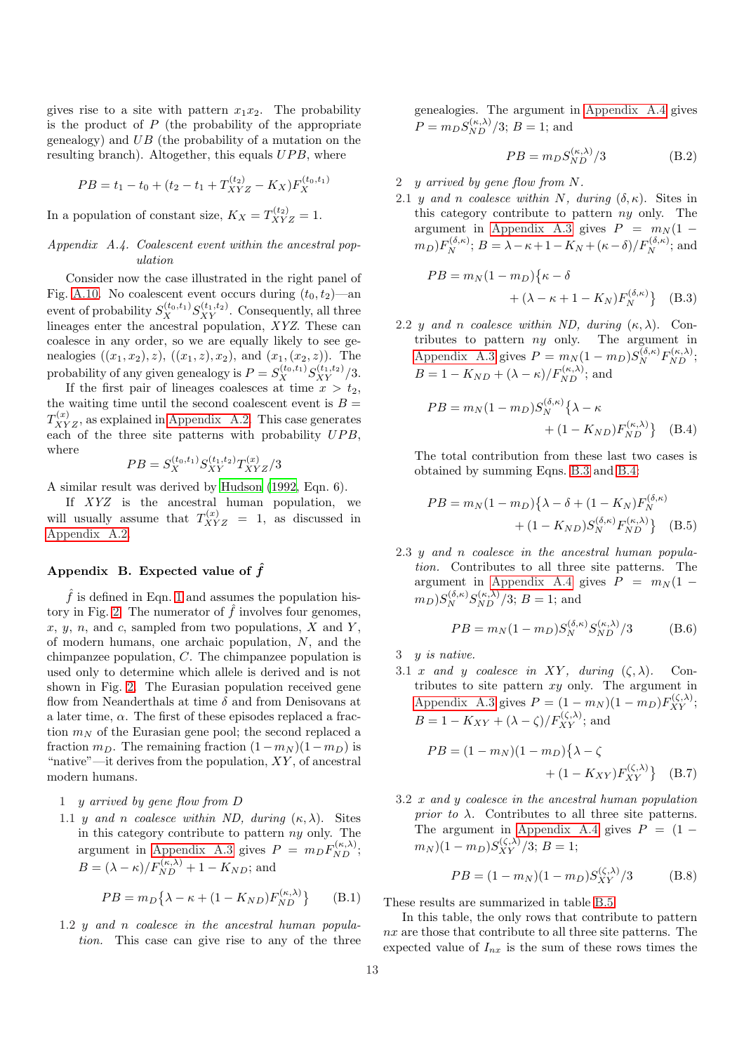gives rise to a site with pattern  $x_1x_2$ . The probability is the product of  $P$  (the probability of the appropriate genealogy) and  $UB$  (the probability of a mutation on the resulting branch). Altogether, this equals  $UPB$ , where

$$
PB = t_1 - t_0 + (t_2 - t_1 + T_{XYZ}^{(t_2)} - K_X)F_X^{(t_0, t_1)}
$$

In a population of constant size,  $K_X = T_{XYZ}^{(t_2)} = 1$ .

### <span id="page-12-1"></span>Appendix A.4. Coalescent event within the ancestral population

Consider now the case illustrated in the right panel of Fig. [A.10.](#page-11-2) No coalescent event occurs during  $(t_0, t_2)$ —an event of probability  $S_X^{(t_0,t_1)} S_{XY}^{(t_1,t_2)}$ . Consequently, all three lineages enter the ancestral population, XYZ. These can coalesce in any order, so we are equally likely to see genealogies  $((x_1, x_2), z), ((x_1, z), x_2),$  and  $(x_1, (x_2, z))$ . The probability of any given genealogy is  $P = S_X^{(t_0,t_1)} S_{XY}^{(t_1,t_2)}/3$ .

If the first pair of lineages coalesces at time  $x > t_2$ , the waiting time until the second coalescent event is  $B =$  $T_{XYZ}^{(x)}$ , as explained in [Appendix A.2.](#page-11-0) This case generates each of the three site patterns with probability  $UPB$ , where

$$
PB = S_X^{(t_0, t_1)} S_{XY}^{(t_1, t_2)} T_{XYZ}^{(x)}/3
$$

A similar result was derived by [Hudson \(1992,](#page-19-35) Eqn. 6).

If XYZ is the ancestral human population, we will usually assume that  $T_{XYZ}^{(x)} = 1$ , as discussed in [Appendix A.2.](#page-11-0)

### <span id="page-12-0"></span>Appendix B. Expected value of  $\hat{f}$

 $\hat{f}$  is defined in Eqn. [1](#page-3-0) and assumes the population his-tory in Fig. [2.](#page-24-0) The numerator of  $\hat{f}$  involves four genomes, x, y, n, and c, sampled from two populations,  $X$  and  $Y$ , of modern humans, one archaic population, N, and the chimpanzee population, C. The chimpanzee population is used only to determine which allele is derived and is not shown in Fig. [2.](#page-24-0) The Eurasian population received gene flow from Neanderthals at time  $\delta$  and from Denisovans at a later time,  $\alpha$ . The first of these episodes replaced a fraction  $m_N$  of the Eurasian gene pool; the second replaced a fraction  $m_D$ . The remaining fraction  $(1 - m_N)(1 - m_D)$  is "native"—it derives from the population,  $XY$ , of ancestral modern humans.

- 1 y arrived by gene flow from D
- 1.1 y and n coalesce within ND, during  $(\kappa, \lambda)$ . Sites in this category contribute to pattern  $ny$  only. The argument in [Appendix A.3](#page-11-1) gives  $P = m_D F_{ND}^{(\kappa,\lambda)}$ ;  $B = (\lambda - \kappa)/F_{ND}^{(\kappa,\lambda)} + 1 - K_{ND}$ ; and

<span id="page-12-5"></span>
$$
PB = m_D \{\lambda - \kappa + (1 - K_{ND}) F_{ND}^{(\kappa, \lambda)} \}
$$
 (B.1)

1.2 y and n coalesce in the ancestral human population. This case can give rise to any of the three genealogies. The argument in [Appendix A.4](#page-12-1) gives  $P = m_D S_{ND}^{(\kappa,\lambda)} / 3; B = 1;$  and

<span id="page-12-8"></span><span id="page-12-2"></span>
$$
PB = m_D S_{ND}^{(\kappa,\lambda)}/3
$$
 (B.2)

- 2 y arrived by gene flow from N.
- 2.1 y and n coalesce within N, during  $(\delta, \kappa)$ . Sites in this category contribute to pattern ny only. The argument in [Appendix A.3](#page-11-1) gives  $P = m_N(1 (m_D)F_N^{(\delta,\kappa)}$ ;  $B = \lambda - \kappa + 1 - K_N + (\kappa - \delta)/F_N^{(\delta,\kappa)}$ ; and

$$
PB = m_N(1 - m_D)\{\kappa - \delta
$$
  
+ (\lambda - \kappa + 1 - K\_N)F\_N^{(\delta, \kappa)}\} (B.3)

2.2 y and n coalesce within ND, during  $(\kappa, \lambda)$ . Contributes to pattern ny only. The argument in [Appendix A.3](#page-11-1) gives  $P = m_N(1 - m_D)S_N^{(\delta,\kappa)}F_{ND}^{(\kappa,\lambda)}$ ;  $B = 1 - K_{ND} + (\lambda - \kappa) / F_{ND}^{(\kappa, \lambda)}$ ; and

<span id="page-12-3"></span>
$$
PB = m_N(1 - m_D)S_N^{(\delta, \kappa)} \{\lambda - \kappa
$$
  
 
$$
+ (1 - K_{ND})F_{ND}^{(\kappa, \lambda)}\} \quad \text{(B.4)}
$$

The total contribution from these last two cases is obtained by summing Eqns. [B.3](#page-12-2) and [B.4:](#page-12-3)

<span id="page-12-4"></span>
$$
PB = m_N(1 - m_D) \{ \lambda - \delta + (1 - K_N) F_N^{(\delta, \kappa)}
$$

$$
+ (1 - K_{ND}) S_N^{(\delta, \kappa)} F_{ND}^{(\kappa, \lambda)} \}
$$
(B.5)

2.3 y and n coalesce in the ancestral human population. Contributes to all three site patterns. The argument in [Appendix A.4](#page-12-1) gives  $P = m_N(1 (m_D)S_N^{(\delta,\kappa)}S_{ND}^{(\kappa,\lambda)}/3; B=1;$  and

<span id="page-12-7"></span>
$$
PB = m_N(1 - m_D)S_N^{(\delta, \kappa)} S_{ND}^{(\kappa, \lambda)}/3
$$
 (B.6)

3 y is native.

3.1 x and y coalesce in XY, during  $(\zeta, \lambda)$ . Contributes to site pattern  $xy$  only. The argument in [Appendix A.3](#page-11-1) gives  $P = (1 - m_N)(1 - m_D)F_{XY}^{(\zeta,\lambda)}$ ;  $B = 1 - K_{XY} + (\lambda - \zeta)/F_{XY}^{(\zeta,\lambda)}$ ; and

$$
PB = (1 - m_N)(1 - m_D)\{\lambda - \zeta + (1 - K_{XY})F_{XY}^{(\zeta, \lambda)}\} \quad (B.7)
$$

3.2 x and y coalesce in the ancestral human population *prior to*  $\lambda$ . Contributes to all three site patterns. The argument in [Appendix A.4](#page-12-1) gives  $P = (1 (m_N)(1 - m_D)S_{XY}^{(\zeta,\lambda)}/3; B = 1;$ 

<span id="page-12-9"></span><span id="page-12-6"></span>
$$
PB = (1 - m_N)(1 - m_D)S_{XY}^{(\zeta, \lambda)}/3
$$
 (B.8)

These results are summarized in table [B.5.](#page-13-3)

In this table, the only rows that contribute to pattern nx are those that contribute to all three site patterns. The expected value of  $I_{nx}$  is the sum of these rows times the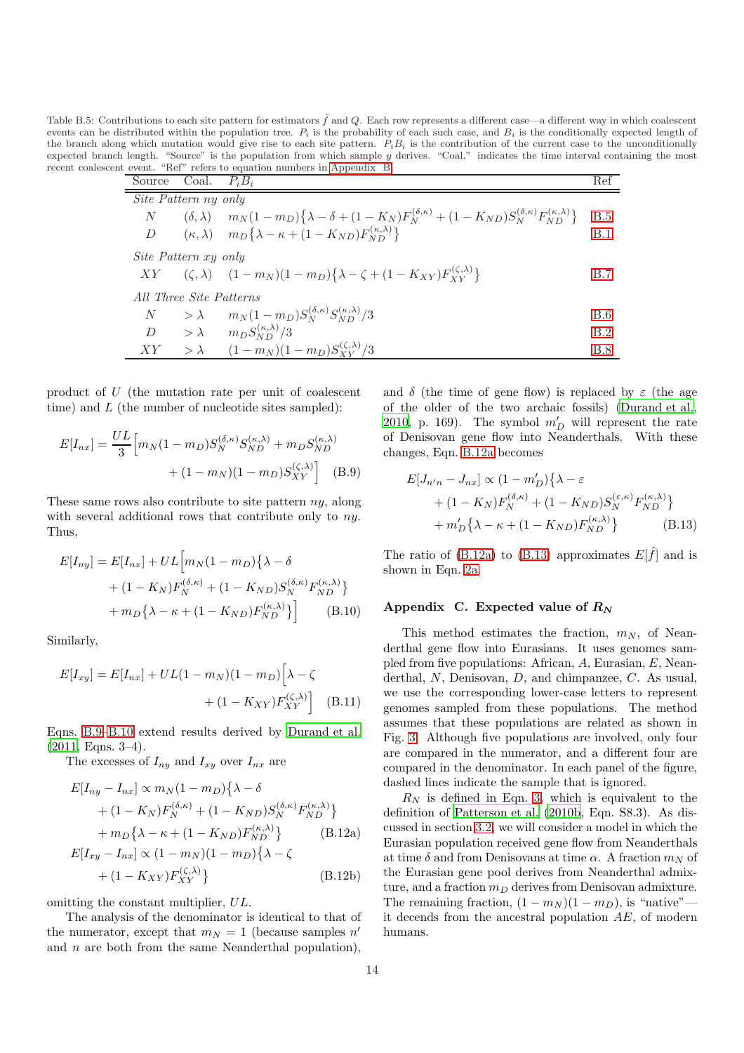<span id="page-13-3"></span>Table B.5: Contributions to each site pattern for estimators  $\hat{f}$  and Q. Each row represents a different case—a different way in which coalescent events can be distributed within the population tree.  $P_i$  is the probability of each such case, and  $B_i$  is the conditionally expected length of the branch along which mutation would give rise to each site pattern.  $P_i B_i$  is the contribution of the current case to the unconditionally expected branch length. "Source" is the population from which sample y derives. "Coal." indicates the time interval containing the most recent coalescent event. "Ref" refers to equation numbers in [Appendix B.](#page-12-0)

| Source                  | Coal. $P_i B_i$             |                                                                                                                                                         | Ref        |  |
|-------------------------|-----------------------------|---------------------------------------------------------------------------------------------------------------------------------------------------------|------------|--|
| Site Pattern ny only    |                             |                                                                                                                                                         |            |  |
| N                       |                             | $(\delta, \lambda)$ $m_N(1 - m_D)\{\lambda - \delta + (1 - K_N)F_N^{(\delta, \kappa)} + (1 - K_{ND})S_N^{(\delta, \kappa)}F_{ND}^{(\kappa, \lambda)}\}$ | B.5        |  |
|                         |                             | D $(\kappa, \lambda)$ $m_D\{\lambda - \kappa + (1 - K_{ND})F_{ND}^{(\kappa, \lambda)}\}$                                                                | B.1        |  |
|                         | <i>Site Pattern xy only</i> |                                                                                                                                                         |            |  |
|                         |                             | $XY = (\zeta, \lambda) = (1 - m_N)(1 - m_D)\{\lambda - \zeta + (1 - K_{XY})F_{XY}^{(\zeta, \lambda)}\}$                                                 | B.7        |  |
| All Three Site Patterns |                             |                                                                                                                                                         |            |  |
|                         |                             | $N \t> \lambda \t m_N(1 - m_D) S_N^{(\delta, \kappa)} S_{N_D}^{(\kappa, \lambda)}/3$                                                                    | <b>B.6</b> |  |
|                         |                             | $D \qquad > \lambda \qquad m_D S_{ND}^{(\kappa,\lambda)}/3$                                                                                             | B.2        |  |
|                         |                             | $XY \t > \lambda \t (1 - m_N)(1 - m_D)S_{XV}^{(\zeta,\lambda)}/3$                                                                                       | <b>B.8</b> |  |

product of U (the mutation rate per unit of coalescent time) and  $L$  (the number of nucleotide sites sampled):

$$
E[I_{nx}] = \frac{UL}{3} \Big[ m_N (1 - m_D) S_N^{(\delta, \kappa)} S_{ND}^{(\kappa, \lambda)} + m_D S_{ND}^{(\kappa, \lambda)} + (1 - m_N)(1 - m_D) S_{XY}^{(\zeta, \lambda)} \Big] \quad (B.9)
$$

These same rows also contribute to site pattern  $nv$ , along with several additional rows that contribute only to  $nu$ . Thus,

$$
E[I_{ny}] = E[I_{nx}] + UL\Big[m_N(1 - m_D)\{\lambda - \delta + (1 - K_N)F_N^{(\delta,\kappa)} + (1 - K_{ND})S_N^{(\delta,\kappa)}F_{ND}^{(\kappa,\lambda)}\}\Big]
$$
  
+  $m_D\{\lambda - \kappa + (1 - K_{ND})F_{ND}^{(\kappa,\lambda)}\}\Big]$  (B.10)

Similarly,

$$
E[I_{xy}] = E[I_{nx}] + UL(1 - m_N)(1 - m_D)\left[\lambda - \zeta + (1 - K_{XY})F_{XY}^{(\zeta,\lambda)}\right]
$$
(B.11)

Eqns. [B.9–](#page-13-4)[B.10](#page-13-5) extend results derived by [Durand et al.](#page-19-13) [\(2011,](#page-19-13) Eqns. 3–4).

The excesses of  $I_{ny}$  and  $I_{xy}$  over  $I_{nx}$  are

$$
E[I_{ny} - I_{nx}] \propto m_N (1 - m_D) \{ \lambda - \delta
$$
  
+ (1 - K\_N) F\_N^{(\delta,\kappa)} + (1 - K\_{ND}) S\_N^{(\delta,\kappa)} F\_{ND}^{(\kappa,\lambda)} \}  
+ m\_D \{ \lambda - \kappa + (1 - K\_{ND}) F\_{ND}^{(\kappa,\lambda)} \} \qquad (B.12a)  

$$
E[I_{xy} - I_{nx}] \propto (1 - m_N) (1 - m_D) \{ \lambda - \zeta
$$

$$
E[I_{xy} - I_{nx}] \propto (1 - m_N)(1 - m_D)\sqrt{\lambda - \zeta}
$$
  
 
$$
+ (1 - K_{XY})F_{XY}^{(\zeta, \lambda)} \}
$$
 (B.12b)

omitting the constant multiplier, UL.

The analysis of the denominator is identical to that of the numerator, except that  $m_N = 1$  (because samples n' and  $n$  are both from the same Neanderthal population),

and  $\delta$  (the time of gene flow) is replaced by  $\varepsilon$  (the age of the older of the two archaic fossils) [\(Durand et al.,](#page-19-34) [2010,](#page-19-34) p. 169). The symbol  $m'_D$  will represent the rate of Denisovan gene flow into Neanderthals. With these changes, Eqn. [B.12a](#page-13-1) becomes

<span id="page-13-6"></span><span id="page-13-4"></span>
$$
E[J_{n'n} - J_{nx}] \propto (1 - m'_D) \{ \lambda - \varepsilon
$$
  
+  $(1 - K_N) F_N^{(\delta, \kappa)} + (1 - K_{ND}) S_N^{(\varepsilon, \kappa)} F_{ND}^{(\kappa, \lambda)} \}$   
+  $m'_D \{ \lambda - \kappa + (1 - K_{ND}) F_{ND}^{(\kappa, \lambda)} \}$  (B.13)

The ratio of [\(B.12a\)](#page-13-1) to [\(B.13\)](#page-13-6) approximates  $E[\hat{f}]$  and is shown in Eqn. [2a.](#page-3-4)

### <span id="page-13-5"></span><span id="page-13-0"></span>Appendix C. Expected value of  $R_N$

 $\frac{X_1 \cdot (S_1, A)}{X_1 \cdot X_2}$  [B.8](#page-12-9)

This method estimates the fraction,  $m_N$ , of Neanderthal gene flow into Eurasians. It uses genomes sampled from five populations: African, A, Eurasian, E, Neanderthal, N, Denisovan, D, and chimpanzee, C. As usual, we use the corresponding lower-case letters to represent genomes sampled from these populations. The method assumes that these populations are related as shown in Fig. [3.](#page-25-0) Although five populations are involved, only four are compared in the numerator, and a different four are compared in the denominator. In each panel of the figure, dashed lines indicate the sample that is ignored.

<span id="page-13-2"></span><span id="page-13-1"></span> $R_N$  is defined in Eqn. [3,](#page-5-1) which is equivalent to the definition of [Patterson et al. \(2010b,](#page-19-30) Eqn. S8.3). As discussed in section [3.2,](#page-5-2) we will consider a model in which the Eurasian population received gene flow from Neanderthals at time  $\delta$  and from Denisovans at time  $\alpha$ . A fraction  $m_N$  of the Eurasian gene pool derives from Neanderthal admixture, and a fraction  $m_D$  derives from Denisovan admixture. The remaining fraction,  $(1 - m_N)(1 - m_D)$ , is "native" it decends from the ancestral population AE, of modern humans.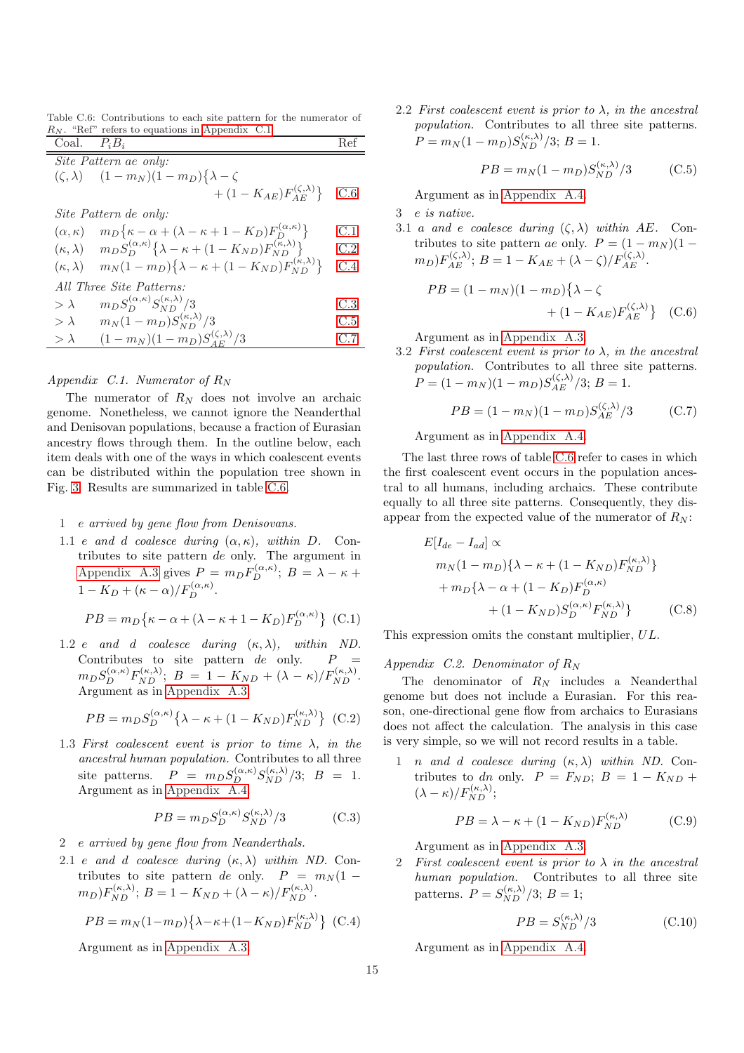<span id="page-14-8"></span>Table C.6: Contributions to each site pattern for the numerator of  $R_N$ . "Ref" refers to equations in [Appendix C.1.](#page-14-0)

| Coal. $P_i B_i$ |                                                                                                                   | Ref |
|-----------------|-------------------------------------------------------------------------------------------------------------------|-----|
|                 | Site Pattern ae only:                                                                                             |     |
|                 | $(\zeta, \lambda)$ $(1 - m_N)(1 - m_D)\{\lambda - \zeta\}$                                                        |     |
|                 | $+ (1 - K_{AE}) F_{AE}^{(\zeta, \lambda)}$                                                                        | C.6 |
|                 | Site Pattern de only:                                                                                             |     |
|                 | $(\alpha, \kappa)$ $m_D\{\kappa - \alpha + (\lambda - \kappa + 1 - K_D)F_D^{(\alpha, \kappa)}\}$                  | C.1 |
|                 | $(\kappa, \lambda)$ $m_D S_D^{(\alpha, \kappa)} \{ \lambda - \kappa + (1 - K_{ND}) F_{ND}^{(\kappa, \lambda)} \}$ | C.2 |
|                 | $(\kappa, \lambda)$ $m_N(1 - m_D)\{\lambda - \kappa + (1 - K_{ND})F_{ND}^{(\kappa, \lambda)}\}$                   | C.4 |
|                 | All Three Site Patterns:                                                                                          |     |
| $> \lambda$     | $m_D S_D^{(\alpha,\kappa)} S_{ND}^{(\kappa,\lambda)}/3$                                                           | C.3 |
| $>\lambda$      | $m_N(1-m_D)S_{ND}^{(\kappa,\lambda)}/3$                                                                           | C.5 |
| $>\lambda$      | $(1 - m_N)(1 - m_D)S_{AF}^{(\zeta, \lambda)}/3$                                                                   | C.7 |
|                 |                                                                                                                   |     |

### <span id="page-14-0"></span>Appendix C.1. Numerator of  $R_N$

The numerator of  $R_N$  does not involve an archaic genome. Nonetheless, we cannot ignore the Neanderthal and Denisovan populations, because a fraction of Eurasian ancestry flows through them. In the outline below, each item deals with one of the ways in which coalescent events can be distributed within the population tree shown in Fig. [3.](#page-25-0) Results are summarized in table [C.6.](#page-14-8)

### 1 e arrived by gene flow from Denisovans.

1.1 e and d coalesce during  $(\alpha, \kappa)$ , within D. Contributes to site pattern de only. The argument in [Appendix A.3](#page-11-1) gives  $P = m_D F_D^{(\alpha,\kappa)}$ ;  $B = \lambda - \kappa + \frac{\lambda}{2}$  $1 - K_D + (\kappa - \alpha)/F_D^{(\alpha,\kappa)}.$ 

<span id="page-14-2"></span>
$$
PB = m_D\{\kappa - \alpha + (\lambda - \kappa + 1 - K_D)F_D^{(\alpha,\kappa)}\} \quad (C.1)
$$

1.2 e and d coalesce during  $(\kappa, \lambda)$ , within ND. Contributes to site pattern de only.  $P =$  $m_D S_D^{(\alpha,\kappa)} F_{ND}^{(\kappa,\lambda)}; \; B \; = \; 1 - K_{ND} + (\lambda - \kappa) / F_{ND}^{(\kappa,\lambda)}.$ Argument as in [Appendix A.3.](#page-11-1)

<span id="page-14-3"></span>
$$
PB = m_D S_D^{(\alpha,\kappa)} \{ \lambda - \kappa + (1 - K_{ND}) F_{ND}^{(\kappa,\lambda)} \} \quad (C.2)
$$

1.3 First coalescent event is prior to time  $\lambda$ , in the ancestral human population. Contributes to all three site patterns.  $P = m_D S_D^{(\alpha,\kappa)} S_{ND}^{(\kappa,\lambda)} / 3; B = 1.$ Argument as in [Appendix A.4.](#page-12-1)

<span id="page-14-5"></span>
$$
PB = m_D S_D^{(\alpha,\kappa)} S_{ND}^{(\kappa,\lambda)}/3
$$
 (C.3)

- 2 e arrived by gene flow from Neanderthals.
- 2.1 e and d coalesce during  $(\kappa, \lambda)$  within ND. Contributes to site pattern de only.  $P = m_N (1 (m_D)F_{ND}^{(\kappa,\lambda)}$ ;  $B = 1 - K_{ND} + (\lambda - \kappa)/F_{ND}^{(\kappa,\lambda)}$ .

<span id="page-14-4"></span>
$$
PB = m_N(1 - m_D)\left\{\lambda - \kappa + (1 - K_{ND})F_{ND}^{(\kappa, \lambda)}\right\} \text{ (C.4)}
$$

Argument as in [Appendix A.3.](#page-11-1)

2.2 First coalescent event is prior to  $\lambda$ , in the ancestral population. Contributes to all three site patterns.  $P = m_N(1 - m_D)S_{ND}^{(\kappa, \lambda)}/3; B = 1.$ 

<span id="page-14-6"></span><span id="page-14-1"></span>
$$
PB = m_N(1 - m_D)S_{ND}^{(\kappa, \lambda)}/3
$$
 (C.5)

Argument as in [Appendix A.4.](#page-12-1)

3 e is native.

3.1 a and e coalesce during  $(\zeta, \lambda)$  within AE. Contributes to site pattern ae only.  $P = (1 - m_N)(1 (m_D)F_{AE}^{(\zeta,\lambda)}$ ;  $B = 1 - K_{AE} + (\lambda - \zeta)/F_{AE}^{(\zeta,\lambda)}$ .

$$
PB = (1 - m_N)(1 - m_D)\{\lambda - \zeta + (1 - K_{AE})F_{AE}^{(\zeta, \lambda)}\} \quad (C.6)
$$

Argument as in [Appendix A.3.](#page-11-1)

3.2 First coalescent event is prior to  $\lambda$ , in the ancestral population. Contributes to all three site patterns.  $P = (1 - m_N)(1 - m_D)S_{AE}^{(\zeta, \lambda)}/3; B = 1.$ 

<span id="page-14-7"></span>
$$
PB = (1 - m_N)(1 - m_D)S_{AE}^{(\zeta, \lambda)}/3
$$
 (C.7)

Argument as in [Appendix A.4.](#page-12-1)

The last three rows of table [C.6](#page-14-8) refer to cases in which the first coalescent event occurs in the population ancestral to all humans, including archaics. These contribute equally to all three site patterns. Consequently, they disappear from the expected value of the numerator of  $R_N$ :

<span id="page-14-9"></span>
$$
E[I_{de} - I_{ad}] \propto
$$
  
\n
$$
m_N(1 - m_D)\{\lambda - \kappa + (1 - K_{ND})F_{ND}^{(\kappa, \lambda)}\}\
$$
  
\n
$$
+ m_D\{\lambda - \alpha + (1 - K_D)F_D^{(\alpha, \kappa)}
$$
  
\n
$$
+ (1 - K_{ND})S_D^{(\alpha, \kappa)}F_{ND}^{(\kappa, \lambda)}\}
$$
 (C.8)

This expression omits the constant multiplier, UL.

### Appendix C.2. Denominator of  $R_N$

The denominator of  $R_N$  includes a Neanderthal genome but does not include a Eurasian. For this reason, one-directional gene flow from archaics to Eurasians does not affect the calculation. The analysis in this case is very simple, so we will not record results in a table.

1 n and d coalesce during  $(\kappa, \lambda)$  within ND. Contributes to dn only.  $P = F_{ND}$ ;  $B = 1 - K_{ND}$  +  $(\lambda - \kappa)/F_{ND}^{(\kappa,\lambda)};$ 

$$
PB = \lambda - \kappa + (1 - K_{ND})F_{ND}^{(\kappa, \lambda)}
$$
 (C.9)

Argument as in [Appendix A.3.](#page-11-1)

2 First coalescent event is prior to  $\lambda$  in the ancestral human population. Contributes to all three site patterns.  $P = S_{ND}^{(\kappa,\lambda)} / 3; B = 1;$ 

$$
PB = S_{ND}^{(\kappa,\lambda)}/3\tag{C.10}
$$

Argument as in [Appendix A.4.](#page-12-1)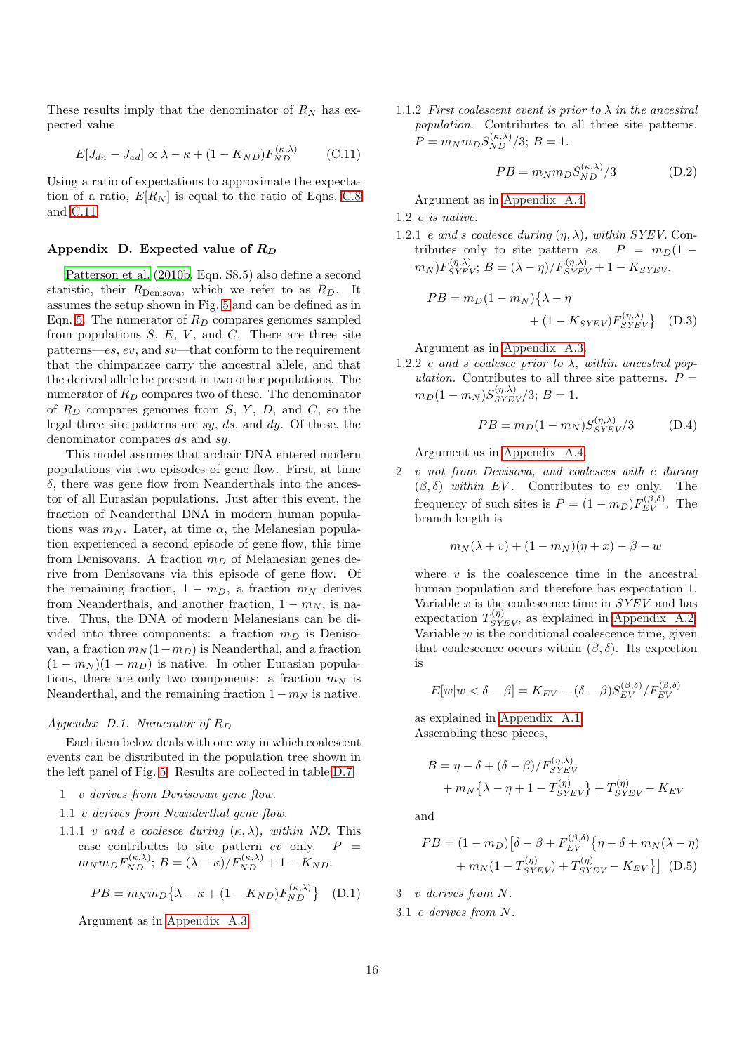These results imply that the denominator of  $R_N$  has expected value

<span id="page-15-1"></span>
$$
E[J_{dn} - J_{ad}] \propto \lambda - \kappa + (1 - K_{ND}) F_{ND}^{(\kappa, \lambda)} \tag{C.11}
$$

Using a ratio of expectations to approximate the expectation of a ratio,  $E[R_N]$  is equal to the ratio of Eqns. [C.8](#page-14-9) and [C.11.](#page-15-1)

### <span id="page-15-0"></span>Appendix D. Expected value of  $R_D$

[Patterson et al. \(2010b,](#page-19-30) Eqn. S8.5) also define a second statistic, their  $R_{\text{Denisova}}$ , which we refer to as  $R_D$ . It assumes the setup shown in Fig. [5](#page-27-0) and can be defined as in Eqn. [5.](#page-5-3) The numerator of  $R_D$  compares genomes sampled from populations  $S, E, V,$  and  $C$ . There are three site patterns—es, ev, and sv—that conform to the requirement that the chimpanzee carry the ancestral allele, and that the derived allele be present in two other populations. The numerator of  $R_D$  compares two of these. The denominator of  $R_D$  compares genomes from S, Y, D, and C, so the legal three site patterns are  $sy, ds,$  and  $dy$ . Of these, the denominator compares ds and sy.

This model assumes that archaic DNA entered modern populations via two episodes of gene flow. First, at time  $\delta$ , there was gene flow from Neanderthals into the ancestor of all Eurasian populations. Just after this event, the fraction of Neanderthal DNA in modern human populations was  $m_N$ . Later, at time  $\alpha$ , the Melanesian population experienced a second episode of gene flow, this time from Denisovans. A fraction  $m_D$  of Melanesian genes derive from Denisovans via this episode of gene flow. Of the remaining fraction,  $1 - m_D$ , a fraction  $m_N$  derives from Neanderthals, and another fraction,  $1 - m_N$ , is native. Thus, the DNA of modern Melanesians can be divided into three components: a fraction  $m_D$  is Denisovan, a fraction  $m_N(1-m_D)$  is Neanderthal, and a fraction  $(1 - m_N)(1 - m_D)$  is native. In other Eurasian populations, there are only two components: a fraction  $m<sub>N</sub>$  is Neanderthal, and the remaining fraction  $1 - m_N$  is native.

### <span id="page-15-2"></span>Appendix D.1. Numerator of  $R_D$

Each item below deals with one way in which coalescent events can be distributed in the population tree shown in the left panel of Fig. [5.](#page-27-0) Results are collected in table [D.7.](#page-16-0)

- 1 v derives from Denisovan gene flow.
- 1.1 e derives from Neanderthal gene flow.
- 1.1.1 v and e coalesce during  $(\kappa, \lambda)$ , within ND. This case contributes to site pattern  $ev$  only.  $P =$  $m_N m_D F_{ND}^{(\kappa,\lambda)}$ ;  $B = (\lambda - \kappa) / F_{ND}^{(\kappa,\lambda)} + 1 - K_{ND}$ .

<span id="page-15-4"></span>
$$
PB = m_N m_D \{ \lambda - \kappa + (1 - K_{ND}) F_{ND}^{(\kappa, \lambda)} \}
$$
 (D.1)

Argument as in [Appendix A.3.](#page-11-1)

1.1.2 First coalescent event is prior to  $\lambda$  in the ancestral population. Contributes to all three site patterns.  $P = m_N m_D S_{ND}^{(\kappa,\lambda)} / 3; B = 1.$ 

<span id="page-15-6"></span>
$$
PB = m_N m_D S_{ND}^{(\kappa,\lambda)}/3
$$
 (D.2)

Argument as in [Appendix A.4.](#page-12-1)

1.2 e is native.

1.2.1 e and s coalesce during  $(\eta, \lambda)$ , within SYEV. Contributes only to site pattern es.  $P = m_D(1 (m_N) F_{SYEV}^{(\eta,\lambda)}$ ;  $B = (\lambda - \eta)/F_{SYEV}^{(\eta,\lambda)} + 1 - K_{SYEV}$ .

$$
PB = m_D(1 - m_N)\{\lambda - \eta
$$
  
 
$$
+ (1 - K_{SYEV})F_{SYEV}^{(\eta, \lambda)}\}
$$
 (D.3)

Argument as in [Appendix A.3.](#page-11-1)

1.2.2 e and s coalesce prior to  $\lambda$ , within ancestral population. Contributes to all three site patterns.  $P =$  $m_D(1 - m_N)S_{SYEV}^{(\eta, \lambda)}$ /3;  $B = 1$ .

<span id="page-15-7"></span><span id="page-15-3"></span>
$$
PB = m_D(1 - m_N)S_{SYEV}^{(\eta, \lambda)}/3
$$
 (D.4)

Argument as in [Appendix A.4.](#page-12-1)

2 v not from Denisova, and coalesces with e during  $(\beta, \delta)$  within EV. Contributes to ev only. The frequency of such sites is  $P = (1 - m_D)F_{EV}^{(\beta,\delta)}$ . The branch length is

$$
m_N(\lambda + v) + (1 - m_N)(\eta + x) - \beta - w
$$

where  $v$  is the coalescence time in the ancestral human population and therefore has expectation 1. Variable  $x$  is the coalescence time in  $SYEV$  and has expectation  $T_{SYEV}^{(\eta)}$ , as explained in [Appendix A.2.](#page-11-0) Variable  $w$  is the conditional coalescence time, given that coalescence occurs within  $(\beta, \delta)$ . Its expection is

$$
E[w|w < \delta - \beta] = K_{EV} - (\delta - \beta)S_{EV}^{(\beta,\delta)}/F_{EV}^{(\beta,\delta)}
$$

as explained in [Appendix A.1.](#page-10-1) Assembling these pieces,

$$
B = \eta - \delta + (\delta - \beta)/F_{SYEV}^{(\eta, \lambda)} + m_N \{\lambda - \eta + 1 - T_{SYEV}^{(\eta)}\} + T_{SYEV}^{(\eta)} - K_{EV}
$$

and

<span id="page-15-5"></span>
$$
PB = (1 - m_D) [\delta - \beta + F_{EV}^{(\beta, \delta)} \{ \eta - \delta + m_N(\lambda - \eta) + m_N(1 - T_{SYEV}^{(\eta)}) + T_{SYEV}^{(\eta)} + T_{SVEV}^{(\eta)} - K_{EV} \} ] \tag{D.5}
$$

3 v derives from N.

3.1 e derives from N.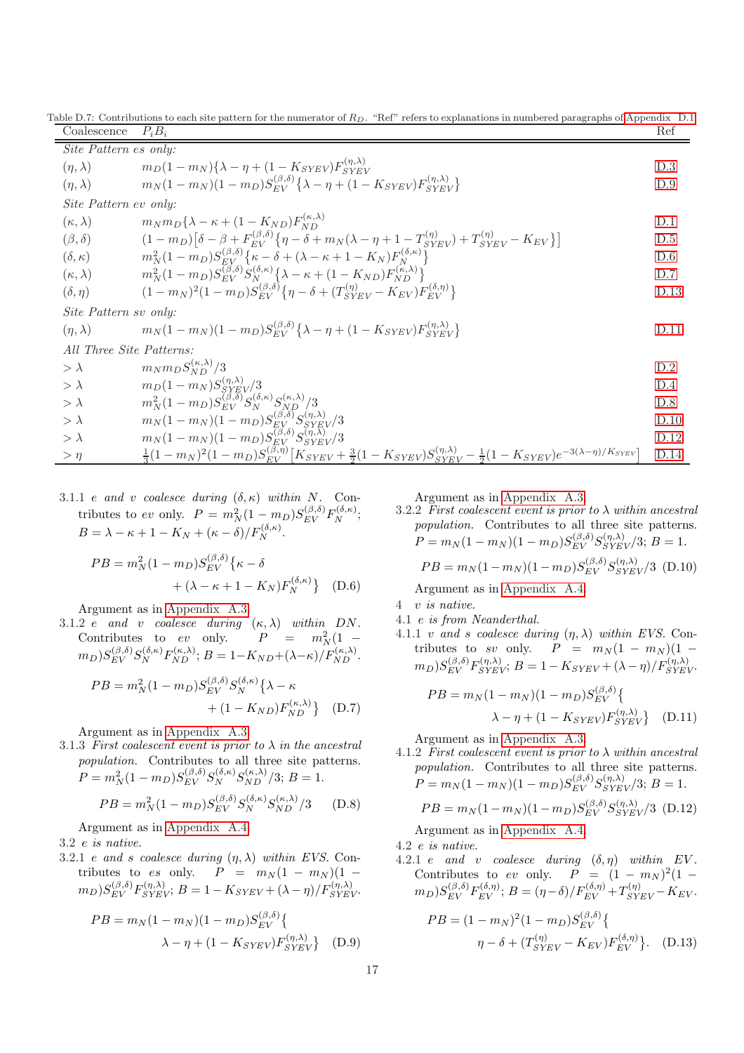Table D.7: Contributions to each site pattern for the numerator of  $R_D$ . "Ref" refers to explanations in numbered paragraphs of [Appendix D.1.](#page-15-2)

<span id="page-16-0"></span>

| Coalescence              | $P_i B_i$                                                                                                                                                                     | Ref  |  |  |
|--------------------------|-------------------------------------------------------------------------------------------------------------------------------------------------------------------------------|------|--|--|
| Site Pattern es only:    |                                                                                                                                                                               |      |  |  |
| $(\eta, \lambda)$        | $m_D(1-m_N)\{\lambda-\eta+(1-K_{SYEV})F_{SYEV}^{(\eta,\lambda)}\}$                                                                                                            | D.3  |  |  |
| $(\eta, \lambda)$        | $m_N(1 - m_N)(1 - m_D)S_{EV}^{(\beta, \delta)}\{\lambda - \eta + (1 - K_{SVEV})F_{SVEV}^{(\eta, \lambda)}\}$                                                                  | D.9  |  |  |
| Site Pattern ev only:    |                                                                                                                                                                               |      |  |  |
| $(\kappa, \lambda)$      | $m_N m_D \{\lambda - \kappa + (1 - K_{ND}) F_{ND}^{(\kappa, \lambda)}\}$                                                                                                      | D.1  |  |  |
| $(\beta,\delta)$         | $(1 - m_D)[\delta - \beta + F_{EV}^{(\beta,\delta)} \{\eta - \delta + m_N(\lambda - \eta + 1 - T_{SVEV}^{(\eta)}) + T_{SVEV}^{(\eta)} - K_{EV}\}]$                            | D.5  |  |  |
| $(\delta, \kappa)$       | $m_N^2(1-m_D)S_{FV}^{(\beta,\delta)}\{\kappa-\delta+(\lambda-\kappa+1-K_N)F_N^{(\delta,\kappa)}\}$                                                                            | D.6  |  |  |
| $(\kappa, \lambda)$      | $m_N^2(1 - m_D)S_{EV}^{(\beta, \delta)}S_N^{(\delta, \kappa)}\left\{\lambda - \kappa + (1 - K_{ND})F_{ND}^{(\kappa, \lambda)}\right\}$                                        | D.7  |  |  |
| $(\delta, \eta)$         | $(1 - m_N)^2 (1 - m_D) S_{FV}^{(\beta, \delta)} \{ \eta - \delta + (T_{SVFV}^{(\eta)} - K_{EV}) F_{FV}^{(\delta, \eta)} \}$                                                   | D.13 |  |  |
| Site Pattern sv only:    |                                                                                                                                                                               |      |  |  |
| $(\eta, \lambda)$        | $m_N(1 - m_N)(1 - m_D)S_{EV}^{(\beta, \delta)}\{\lambda - \eta + (1 - K_{SVEV})F_{SVEV}^{(\eta, \lambda)}\}$                                                                  | D.11 |  |  |
| All Three Site Patterns: |                                                                                                                                                                               |      |  |  |
| $>$ $\lambda$            | $m_N m_D S_{ND}^{(\kappa,\lambda)}/3$                                                                                                                                         | D.2  |  |  |
| $>$ $\lambda$            | $m_D(1-m_N)S_{SVEV}^{(\eta,\lambda)}/3$                                                                                                                                       | D.4  |  |  |
| $>\lambda$               | $m_N^2(1-m_D)S_{EV}^{(\beta,5)}S_N^{(\delta,\kappa)}S_{ND}^{(\kappa,\lambda)}/3$                                                                                              | D.8  |  |  |
| $>\lambda$               | $m_N(1-m_N)(1-m_D)S_{EV}^{(\beta,\delta)}S_{SVEV}^{(\eta,\lambda)}/3$                                                                                                         | D.10 |  |  |
| $>\lambda$               | $m_N(1-m_N)(1-m_D)S_{EV}^{(\beta,\delta)}S_{SVEV}^{(\eta,\lambda)}/3$                                                                                                         | D.12 |  |  |
| $>\eta$                  | $\frac{1}{3}(1-m_N)^2(1-m_D)S_{EV}^{(\beta,\eta)}\left[K_{SYEV}+\frac{3}{2}(1-K_{SYEV})S_{SYEV}^{(\eta,\lambda)}-\frac{1}{2}(1-K_{SYEV})e^{-3(\lambda-\eta)/K_{SYEV}}\right]$ | D.14 |  |  |

3.1.1 e and v coalesce during  $(\delta, \kappa)$  within N. Contributes to ev only.  $P = m_N^2 (1 - m_D) S_{EV}^{(\beta, \delta)} F_N^{(\delta, \kappa)};$  $B = \lambda - \kappa + 1 - K_N + (\kappa - \delta)/F_N^{(\delta,\kappa)}.$ 

$$
PB = m_N^2 (1 - m_D) S_{EV}^{(\beta, \delta)} \{ \kappa - \delta
$$
  
+ (\lambda - \kappa + 1 - K\_N) F\_N^{(\delta, \kappa)} \} (D.6)

Argument as in [Appendix A.3.](#page-11-1)

3.1.2 e and v coalesce during  $(\kappa, \lambda)$  within DN. Contributes to ev only.  $P = m_N^2(1 (m_D) S_{EV}^{(\beta,\delta)} S_N^{(\delta,\kappa)} F_{ND}^{(\kappa,\lambda)}$ ;  $B = 1 - K_{ND} + (\lambda - \kappa) / F_{ND}^{(\kappa,\lambda)}$ .

$$
PB = m_N^2 (1 - m_D) S_{EV}^{(\beta, \delta)} S_N^{(\delta, \kappa)} \{ \lambda - \kappa + (1 - K_{ND}) F_{ND}^{(\kappa, \lambda)} \} \quad (D.7)
$$

Argument as in [Appendix A.3.](#page-11-1)

3.1.3 First coalescent event is prior to  $\lambda$  in the ancestral population. Contributes to all three site patterns.  $P = m_N^2 (1 - m_D) S_{EV}^{(\beta, \delta)} S_N^{(\delta, \kappa)} S_{ND}^{(\kappa, \lambda)} / 3; B = 1.$ 

<span id="page-16-6"></span>
$$
PB = m_N^2 (1 - m_D) S_{EV}^{(\beta, \delta)} S_N^{(\delta, \kappa)} S_{ND}^{(\kappa, \lambda)} / 3
$$
 (D.8)

Argument as in [Appendix A.4.](#page-12-1)

3.2 e is native.

3.2.1 e and s coalesce during  $(\eta, \lambda)$  within EVS. Contributes to es only.  $P = m_N (1 - m_N) (1 (m_D) S_{EV}^{(\beta,\delta)} F_{SYEV}^{(\eta,\lambda)}$ ;  $B = 1 - K_{SYEV} + (\lambda - \eta) / F_{SYEV}^{(\eta,\lambda)}$ .

$$
PB = m_N(1 - m_N)(1 - m_D)S_{EV}^{(\beta, \delta)} \{ \lambda - \eta + (1 - K_{SYEV})F_{SYEV}^{(\eta, \lambda)} \}
$$
 (D.9)

Argument as in [Appendix A.3.](#page-11-1)

3.2.2 First coalescent event is prior to  $\lambda$  within ancestral population. Contributes to all three site patterns.  $P = m_N (1 - m_N)(1 - m_D) S_{EV}^{(\beta, \delta)} S_{SYEV}^{(\eta, \lambda)} / 3; B = 1.$ 

<span id="page-16-7"></span>
$$
PB = m_N(1 - m_N)(1 - m_D)S_{EV}^{(\beta, \delta)}S_{SYEV}^{(\eta, \lambda)}/3
$$
 (D.10)

Argument as in [Appendix A.4.](#page-12-1)

- <span id="page-16-2"></span>4 v is native.
- 4.1 e is from Neanderthal.
- 4.1.1 v and s coalesce during  $(\eta, \lambda)$  within EVS. Contributes to sv only.  $P = m_N (1 - m_N) (1 (m_D) S_{EV}^{(\beta,\delta)} F_{SYEV}^{(\eta,\lambda)}$ ;  $B = 1 - K_{SYEV} + (\lambda - \eta) / F_{SYEV}^{(\eta,\lambda)}$ .

<span id="page-16-5"></span>
$$
PB = m_N(1 - m_N)(1 - m_D)S_{EV}^{(\beta, \delta)} \{ \lambda - \eta + (1 - K_{SYEV})F_{SYEV}^{(\eta, \lambda)} \}
$$
 (D.11)

Argument as in [Appendix A.3.](#page-11-1)

<span id="page-16-3"></span>4.1.2 First coalescent event is prior to  $\lambda$  within ancestral population. Contributes to all three site patterns.  $P = m_N (1 - m_N)(1 - m_D) S_{EV}^{(\beta, \delta)} S_{SYEV}^{(\eta, \lambda)} / 3; B = 1.$ 

<span id="page-16-8"></span>
$$
PB = m_N(1 - m_N)(1 - m_D)S_{EV}^{(\beta, \delta)}S_{SYEV}^{(\eta, \lambda)}/3
$$
 (D.12)

Argument as in [Appendix A.4.](#page-12-1)

4.2 e is native.

4.2.1 e and v coalesce during  $(\delta, \eta)$  within EV. Contributes to ev only.  $P = (1 - m_N)^2 (1 (m_D) S_{EV}^{(\beta,\delta)} F_{EV}^{(\delta,\eta)}$ ;  $B = (\eta - \delta) / F_{EV}^{(\delta,\eta)} + T_{SYEV}^{(\eta)} - K_{EV}$ .

<span id="page-16-4"></span><span id="page-16-1"></span>
$$
PB = (1 - m_N)^2 (1 - m_D) S_{EV}^{(\beta, \delta)} \{ \n\eta - \delta + (T_{SYEV}^{(\eta)} - K_{EV}) F_{EV}^{(\delta, \eta)} \}.
$$
 (D.13)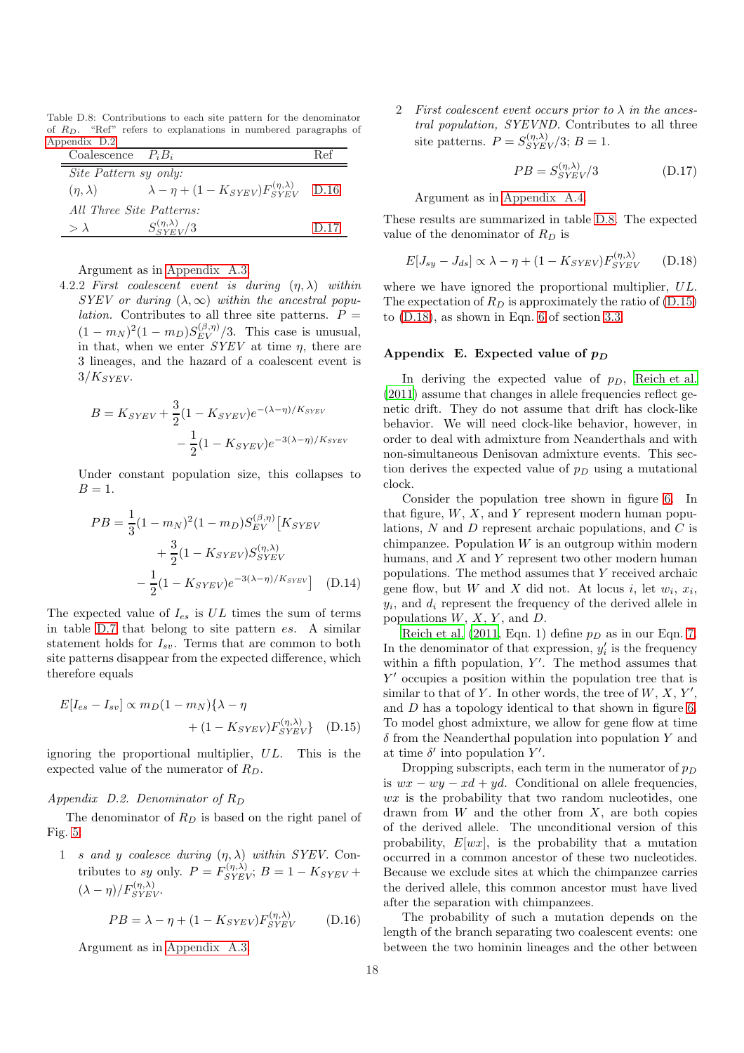Table D.8: Contributions to each site pattern for the denominator of RD. "Ref" refers to explanations in numbered paragraphs of [Appendix D.2.](#page-17-2)

<span id="page-17-5"></span>

| Coalescence $P_i B_i$    |                                                              | Ref  |
|--------------------------|--------------------------------------------------------------|------|
| Site Pattern sy only:    |                                                              |      |
| $(\eta, \lambda)$        | $\lambda - \eta + (1 - K_{SYEV}) F_{SYEV}^{(\eta, \lambda)}$ | D.16 |
| All Three Site Patterns: |                                                              |      |
| $> \lambda$              | $S_{SVEV}^{(\eta,\lambda)}/3$                                | D.17 |

Argument as in [Appendix A.3.](#page-11-1)

4.2.2 First coalescent event is during  $(\eta, \lambda)$  within SYEV or during  $(\lambda, \infty)$  within the ancestral popu*lation*. Contributes to all three site patterns.  $P =$  $(1 - m_N)^2 (1 - m_D) S_{EV}^{(\beta, \eta)}/3$ . This case is unusual, in that, when we enter  $SYEV$  at time  $\eta$ , there are 3 lineages, and the hazard of a coalescent event is  $3/K_{SYEV}$ .

$$
B = K_{SYEV} + \frac{3}{2}(1 - K_{SYEV})e^{-(\lambda - \eta)/K_{SYEV}}
$$

$$
- \frac{1}{2}(1 - K_{SYEV})e^{-3(\lambda - \eta)/K_{SYEV}}
$$

Under constant population size, this collapses to  $B=1$ .

$$
PB = \frac{1}{3}(1 - m_N)^2 (1 - m_D) S_{EV}^{(\beta, \eta)} [K_{SYEV} + \frac{3}{2}(1 - K_{SYEV}) S_{SYEV}^{(\eta, \lambda)} - \frac{1}{2}(1 - K_{SYEV}) S_{SYEV}^{(\eta, \lambda)}]
$$
(D.14)

The expected value of  $I_{es}$  is  $UL$  times the sum of terms in table [D.7](#page-16-0) that belong to site pattern es. A similar statement holds for  $I_{sv}$ . Terms that are common to both site patterns disappear from the expected difference, which therefore equals

$$
E[I_{es} - I_{sv}] \propto m_D (1 - m_N) \{\lambda - \eta
$$
  
 
$$
+ (1 - K_{SYEV}) F_{SYEV}^{(\eta, \lambda)} \}
$$
 (D.15)

ignoring the proportional multiplier, UL. This is the expected value of the numerator of  $R_D$ .

### <span id="page-17-2"></span>Appendix  $D.2.$  Denominator of  $R_D$

The denominator of  $R_D$  is based on the right panel of Fig. [5.](#page-27-0)

1 s and y coalesce during  $(\eta, \lambda)$  within SYEV. Contributes to sy only.  $P = F_{SYEV}^{(\eta,\lambda)}$ ;  $B = 1 - K_{SYEV} +$  $(\lambda - \eta)/F_{SYEV}^{(\eta,\lambda)}$ .

<span id="page-17-3"></span>
$$
PB = \lambda - \eta + (1 - K_{SYEV}) F_{SYEV}^{(\eta, \lambda)} \tag{D.16}
$$

Argument as in [Appendix A.3.](#page-11-1)

2 First coalescent event occurs prior to  $\lambda$  in the ancestral population, SYEVND. Contributes to all three site patterns.  $P = S_{SYEV}^{(\eta,\lambda)} / 3; B = 1.$ 

<span id="page-17-4"></span>
$$
PB = S_{SYEV}^{(\eta,\lambda)}/3\tag{D.17}
$$

Argument as in [Appendix A.4.](#page-12-1)

These results are summarized in table [D.8.](#page-17-5) The expected value of the denominator of  $R_D$  is

<span id="page-17-7"></span>
$$
E[J_{sy} - J_{ds}] \propto \lambda - \eta + (1 - K_{SYEV}) F_{SYEV}^{(\eta, \lambda)} \qquad (D.18)
$$

where we have ignored the proportional multiplier, UL. The expectation of  $R_D$  is approximately the ratio of [\(D.15\)](#page-17-6) to [\(D.18\)](#page-17-7), as shown in Eqn. [6](#page-5-4) of section [3.3.](#page-5-5)

### <span id="page-17-0"></span>Appendix E. Expected value of  $p_D$

In deriving the expected value of  $p_D$ , [Reich et al.](#page-19-18) [\(2011\)](#page-19-18) assume that changes in allele frequencies reflect genetic drift. They do not assume that drift has clock-like behavior. We will need clock-like behavior, however, in order to deal with admixture from Neanderthals and with non-simultaneous Denisovan admixture events. This section derives the expected value of  $p_D$  using a mutational clock.

Consider the population tree shown in figure [6.](#page-28-0) In that figure,  $W$ ,  $X$ , and  $Y$  represent modern human populations, N and D represent archaic populations, and C is chimpanzee. Population  $W$  is an outgroup within modern humans, and X and Y represent two other modern human populations. The method assumes that Y received archaic gene flow, but W and X did not. At locus i, let  $w_i, x_i$ ,  $y_i$ , and  $d_i$  represent the frequency of the derived allele in populations  $W, X, Y$ , and  $D$ .

<span id="page-17-1"></span>[Reich et al. \(2011,](#page-19-18) Eqn. 1) define  $p_D$  as in our Eqn. [7.](#page-5-6) In the denominator of that expression,  $y_i'$  is the frequency within a fifth population, Y'. The method assumes that Y ′ occupies a position within the population tree that is similar to that of Y. In other words, the tree of  $W, X, Y'$ , and D has a topology identical to that shown in figure [6.](#page-28-0) To model ghost admixture, we allow for gene flow at time  $\delta$  from the Neanderthal population into population Y and at time  $\delta'$  into population Y'.

<span id="page-17-6"></span>Dropping subscripts, each term in the numerator of  $p_D$ is  $wx - wy - xd + ud$ . Conditional on allele frequencies,  $wx$  is the probability that two random nucleotides, one drawn from  $W$  and the other from  $X$ , are both copies of the derived allele. The unconditional version of this probability,  $E[wx]$ , is the probability that a mutation occurred in a common ancestor of these two nucleotides. Because we exclude sites at which the chimpanzee carries the derived allele, this common ancestor must have lived after the separation with chimpanzees.

The probability of such a mutation depends on the length of the branch separating two coalescent events: one between the two hominin lineages and the other between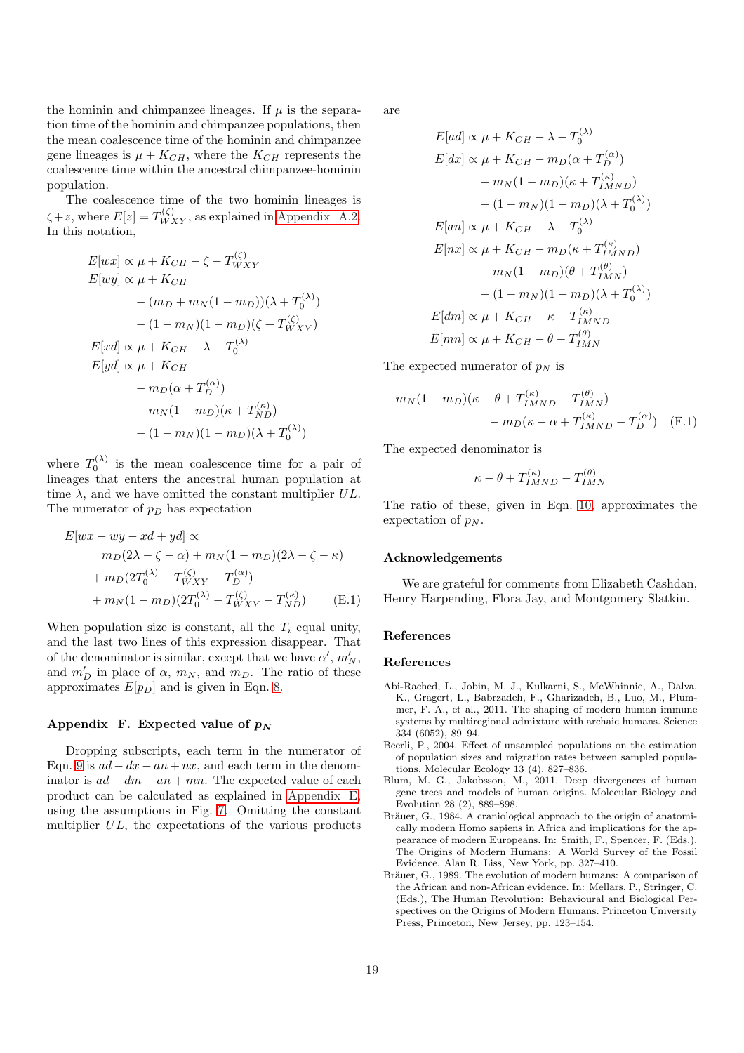the hominin and chimpanzee lineages. If  $\mu$  is the separation time of the hominin and chimpanzee populations, then the mean coalescence time of the hominin and chimpanzee gene lineages is  $\mu + K_{CH}$ , where the  $K_{CH}$  represents the coalescence time within the ancestral chimpanzee-hominin population.

The coalescence time of the two hominin lineages is  $\zeta + z$ , where  $E[z] = T_{WXY}^{(\zeta)}$ , as explained in [Appendix A.2.](#page-11-0) In this notation,

$$
E[wx] \propto \mu + K_{CH} - \zeta - T_{WXY}^{(\zeta)}
$$
  
\n
$$
E[wy] \propto \mu + K_{CH}
$$
  
\n
$$
-(m_D + m_N(1 - m_D))(\lambda + T_0^{(\lambda)})
$$
  
\n
$$
-(1 - m_N)(1 - m_D)(\zeta + T_{WXY}^{(\zeta)})
$$
  
\n
$$
E[xd] \propto \mu + K_{CH} - \lambda - T_0^{(\lambda)}
$$
  
\n
$$
E[yd] \propto \mu + K_{CH}
$$
  
\n
$$
- m_D(\alpha + T_D^{(\alpha)})
$$
  
\n
$$
- m_N(1 - m_D)(\kappa + T_{ND}^{(\kappa)})
$$
  
\n
$$
-(1 - m_N)(1 - m_D)(\lambda + T_0^{(\lambda)})
$$

where  $T_0^{(\lambda)}$  is the mean coalescence time for a pair of lineages that enters the ancestral human population at time  $\lambda$ , and we have omitted the constant multiplier  $UL$ . The numerator of  $p_D$  has expectation

$$
E[wx - wy - xd + yd] \propto
$$
  
\n
$$
m_D(2\lambda - \zeta - \alpha) + m_N(1 - m_D)(2\lambda - \zeta - \kappa)
$$
  
\n
$$
+ m_D(2T_0^{(\lambda)} - T_{WXY}^{(\zeta)} - T_D^{(\alpha)})
$$
  
\n
$$
+ m_N(1 - m_D)(2T_0^{(\lambda)} - T_{WXY}^{(\zeta)} - T_{ND}^{(\kappa)})
$$
 (E.1)

When population size is constant, all the  $T_i$  equal unity, and the last two lines of this expression disappear. That of the denominator is similar, except that we have  $\alpha'$ ,  $m'_N$ , and  $m'_D$  in place of  $\alpha$ ,  $m_N$ , and  $m_D$ . The ratio of these approximates  $E[p_D]$  and is given in Eqn. [8.](#page-6-0)

### <span id="page-18-5"></span>Appendix F. Expected value of  $p_N$

Dropping subscripts, each term in the numerator of Eqn. [9](#page-7-1) is  $ad - dx - an + nx$ , and each term in the denominator is  $ad - dm - an + mn$ . The expected value of each product can be calculated as explained in [Appendix E,](#page-17-0) using the assumptions in Fig. [7.](#page-8-0) Omitting the constant multiplier UL, the expectations of the various products

are

$$
E[ad] \propto \mu + K_{CH} - \lambda - T_0^{(\lambda)}
$$
  
\n
$$
E[dx] \propto \mu + K_{CH} - m_D(\alpha + T_D^{(\alpha)})
$$
  
\n
$$
- m_N(1 - m_D)(\kappa + T_{IMND}^{(\kappa)})
$$
  
\n
$$
- (1 - m_N)(1 - m_D)(\lambda + T_0^{(\lambda)})
$$
  
\n
$$
E[an] \propto \mu + K_{CH} - \lambda - T_0^{(\lambda)}
$$
  
\n
$$
E[nx] \propto \mu + K_{CH} - m_D(\kappa + T_{IMND}^{(\kappa)})
$$
  
\n
$$
- m_N(1 - m_D)(\theta + T_{IMND}^{(\theta)})
$$
  
\n
$$
E[dm] \propto \mu + K_{CH} - \kappa - T_{IMND}^{(\kappa)}
$$
  
\n
$$
E[mn] \propto \mu + K_{CH} - \theta - T_{IMN}^{(\theta)}
$$

(λ)

The expected numerator of  $p_N$  is

$$
m_N(1 - m_D)(\kappa - \theta + T_{IMND}^{(\kappa)} - T_{IMN}^{(\theta)}) - m_D(\kappa - \alpha + T_{IMND}^{(\kappa)} - T_D^{(\alpha)})
$$
 (F.1)

The expected denominator is

$$
\kappa-\theta+T_{IMND}^{(\kappa)}-T_{IMN}^{(\theta)}
$$

The ratio of these, given in Eqn. [10,](#page-7-0) approximates the expectation of  $p_N$ .

### Acknowledgements

We are grateful for comments from Elizabeth Cashdan, Henry Harpending, Flora Jay, and Montgomery Slatkin.

### References

### References

- <span id="page-18-2"></span>Abi-Rached, L., Jobin, M. J., Kulkarni, S., McWhinnie, A., Dalva, K., Gragert, L., Babrzadeh, F., Gharizadeh, B., Luo, M., Plummer, F. A., et al., 2011. The shaping of modern human immune systems by multiregional admixture with archaic humans. Science 334 (6052), 89–94.
- <span id="page-18-4"></span>Beerli, P., 2004. Effect of unsampled populations on the estimation of population sizes and migration rates between sampled populations. Molecular Ecology 13 (4), 827–836.
- <span id="page-18-3"></span>Blum, M. G., Jakobsson, M., 2011. Deep divergences of human gene trees and models of human origins. Molecular Biology and Evolution 28 (2), 889–898.
- <span id="page-18-0"></span>Bräuer, G., 1984. A craniological approach to the origin of anatomically modern Homo sapiens in Africa and implications for the appearance of modern Europeans. In: Smith, F., Spencer, F. (Eds.), The Origins of Modern Humans: A World Survey of the Fossil Evidence. Alan R. Liss, New York, pp. 327–410.
- <span id="page-18-1"></span>Bräuer, G., 1989. The evolution of modern humans: A comparison of the African and non-African evidence. In: Mellars, P., Stringer, C. (Eds.), The Human Revolution: Behavioural and Biological Perspectives on the Origins of Modern Humans. Princeton University Press, Princeton, New Jersey, pp. 123–154.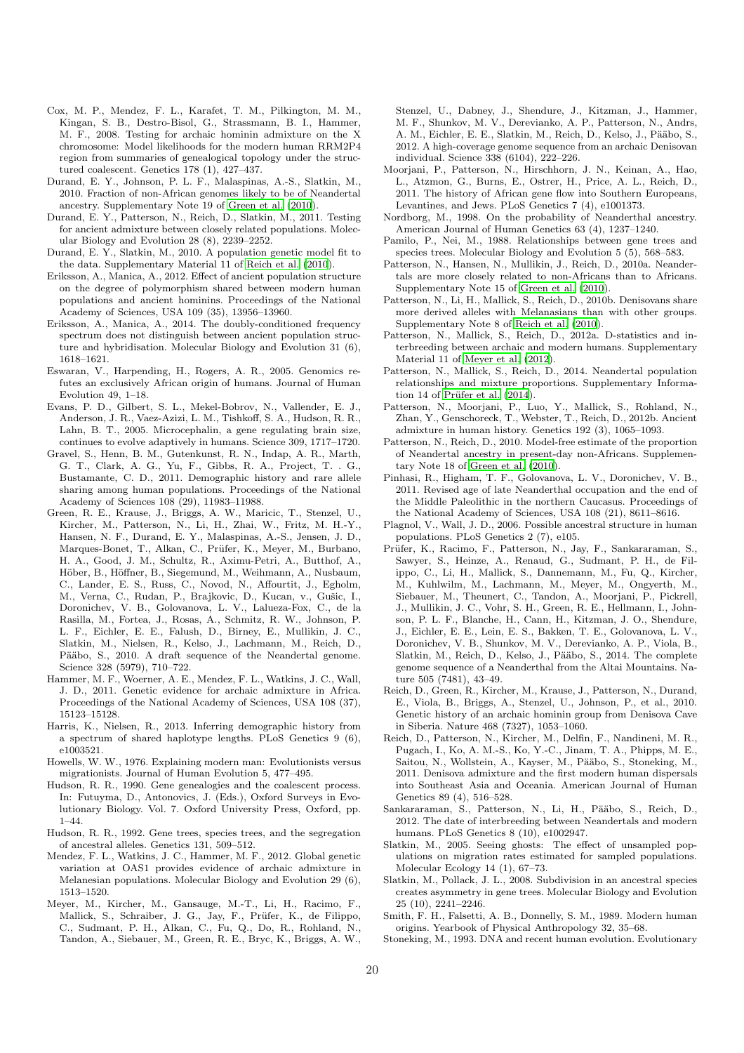- <span id="page-19-5"></span>Cox, M. P., Mendez, F. L., Karafet, T. M., Pilkington, M. M., Kingan, S. B., Destro-Bisol, G., Strassmann, B. I., Hammer, M. F., 2008. Testing for archaic hominin admixture on the X chromosome: Model likelihoods for the modern human RRM2P4 region from summaries of genealogical topology under the structured coalescent. Genetics 178 (1), 427–437.
- <span id="page-19-34"></span>Durand, E. Y., Johnson, P. L. F., Malaspinas, A.-S., Slatkin, M., 2010. Fraction of non-African genomes likely to be of Neandertal ancestry. Supplementary Note 19 of [Green et al. \(2010](#page-19-14)).
- <span id="page-19-13"></span>Durand, E. Y., Patterson, N., Reich, D., Slatkin, M., 2011. Testing for ancient admixture between closely related populations. Molecular Biology and Evolution 28 (8), 2239–2252.
- <span id="page-19-32"></span>Durand, E. Y., Slatkin, M., 2010. A population genetic model fit to the data. Supplementary Material 11 of [Reich et al. \(2010](#page-19-17)).
- <span id="page-19-20"></span>Eriksson, A., Manica, A., 2012. Effect of ancient population structure on the degree of polymorphism shared between modern human populations and ancient hominins. Proceedings of the National Academy of Sciences, USA 109 (35), 13956–13960.
- <span id="page-19-22"></span>Eriksson, A., Manica, A., 2014. The doubly-conditioned frequency spectrum does not distinguish between ancient population structure and hybridisation. Molecular Biology and Evolution 31 (6), 1618–1621.
- <span id="page-19-4"></span>Eswaran, V., Harpending, H., Rogers, A. R., 2005. Genomics refutes an exclusively African origin of humans. Journal of Human Evolution 49, 1–18.
- <span id="page-19-6"></span>Evans, P. D., Gilbert, S. L., Mekel-Bobrov, N., Vallender, E. J., Anderson, J. R., Vaez-Azizi, L. M., Tishkoff, S. A., Hudson, R. R., Lahn, B. T., 2005. Microcephalin, a gene regulating brain size, continues to evolve adaptively in humans. Science 309, 1717–1720.
- <span id="page-19-26"></span>Gravel, S., Henn, B. M., Gutenkunst, R. N., Indap, A. R., Marth, G. T., Clark, A. G., Yu, F., Gibbs, R. A., Project, T. . G., Bustamante, C. D., 2011. Demographic history and rare allele sharing among human populations. Proceedings of the National Academy of Sciences 108 (29), 11983–11988.
- <span id="page-19-14"></span>Green, R. E., Krause, J., Briggs, A. W., Maricic, T., Stenzel, U., Kircher, M., Patterson, N., Li, H., Zhai, W., Fritz, M. H.-Y., Hansen, N. F., Durand, E. Y., Malaspinas, A.-S., Jensen, J. D., Marques-Bonet, T., Alkan, C., Prüfer, K., Meyer, M., Burbano, H. A., Good, J. M., Schultz, R., Aximu-Petri, A., Butthof, A., Höber, B., Höffner, B., Siegemund, M., Weihmann, A., Nusbaum, C., Lander, E. S., Russ, C., Novod, N., Affourtit, J., Egholm, M., Verna, C., Rudan, P., Brajkovic, D., Kucan, v., Gušic, I., Doronichev, V. B., Golovanova, L. V., Lalueza-Fox, C., de la Rasilla, M., Fortea, J., Rosas, A., Schmitz, R. W., Johnson, P. L. F., Eichler, E. E., Falush, D., Birney, E., Mullikin, J. C., Slatkin, M., Nielsen, R., Kelso, J., Lachmann, M., Reich, D., Pääbo, S., 2010. A draft sequence of the Neandertal genome. Science 328 (5979), 710–722.
- <span id="page-19-7"></span>Hammer, M. F., Woerner, A. E., Mendez, F. L., Watkins, J. C., Wall, J. D., 2011. Genetic evidence for archaic admixture in Africa. Proceedings of the National Academy of Sciences, USA 108 (37), 15123–15128.
- <span id="page-19-24"></span>Harris, K., Nielsen, R., 2013. Inferring demographic history from a spectrum of shared haplotype lengths. PLoS Genetics 9 (6), e1003521.
- <span id="page-19-0"></span>Howells, W. W., 1976. Explaining modern man: Evolutionists versus migrationists. Journal of Human Evolution 5, 477–495.
- <span id="page-19-25"></span>Hudson, R. R., 1990. Gene genealogies and the coalescent process. In: Futuyma, D., Antonovics, J. (Eds.), Oxford Surveys in Evolutionary Biology. Vol. 7. Oxford University Press, Oxford, pp. 1–44.
- <span id="page-19-35"></span>Hudson, R. R., 1992. Gene trees, species trees, and the segregation of ancestral alleles. Genetics 131, 509–512.
- <span id="page-19-8"></span>Mendez, F. L., Watkins, J. C., Hammer, M. F., 2012. Global genetic variation at OAS1 provides evidence of archaic admixture in Melanesian populations. Molecular Biology and Evolution 29 (6), 1513–1520.
- <span id="page-19-15"></span>Meyer, M., Kircher, M., Gansauge, M.-T., Li, H., Racimo, F., Mallick, S., Schraiber, J. G., Jay, F., Prüfer, K., de Filippo, C., Sudmant, P. H., Alkan, C., Fu, Q., Do, R., Rohland, N., Tandon, A., Siebauer, M., Green, R. E., Bryc, K., Briggs, A. W.,

Stenzel, U., Dabney, J., Shendure, J., Kitzman, J., Hammer, M. F., Shunkov, M. V., Derevianko, A. P., Patterson, N., Andrs, A. M., Eichler, E. E., Slatkin, M., Reich, D., Kelso, J., Pääbo, S., 2012. A high-coverage genome sequence from an archaic Denisovan individual. Science 338 (6104), 222–226.

- <span id="page-19-9"></span>Moorjani, P., Patterson, N., Hirschhorn, J. N., Keinan, A., Hao, L., Atzmon, G., Burns, E., Ostrer, H., Price, A. L., Reich, D., 2011. The history of African gene flow into Southern Europeans, Levantines, and Jews. PLoS Genetics 7 (4), e1001373.
- <span id="page-19-3"></span>Nordborg, M., 1998. On the probability of Neanderthal ancestry. American Journal of Human Genetics 63 (4), 1237–1240.
- <span id="page-19-12"></span>Pamilo, P., Nei, M., 1988. Relationships between gene trees and species trees. Molecular Biology and Evolution 5 (5), 568–583.
- <span id="page-19-11"></span>Patterson, N., Hansen, N., Mullikin, J., Reich, D., 2010a. Neandertals are more closely related to non-Africans than to Africans. Supplementary Note 15 of [Green et al. \(2010](#page-19-14)).
- <span id="page-19-30"></span>Patterson, N., Li, H., Mallick, S., Reich, D., 2010b. Denisovans share more derived alleles with Melanasians than with other groups. Supplementary Note 8 of [Reich et al. \(2010](#page-19-17)).
- <span id="page-19-31"></span>Patterson, N., Mallick, S., Reich, D., 2012a. D-statistics and interbreeding between archaic and modern humans. Supplementary Material 11 of [Meyer et al. \(2012](#page-19-15)).
- <span id="page-19-33"></span>Patterson, N., Mallick, S., Reich, D., 2014. Neandertal population relationships and mixture proportions. Supplementary Information 14 of Prüfer et al.  $(2014)$ .
- <span id="page-19-16"></span>Patterson, N., Moorjani, P., Luo, Y., Mallick, S., Rohland, N., Zhan, Y., Genschoreck, T., Webster, T., Reich, D., 2012b. Ancient admixture in human history. Genetics 192 (3), 1065–1093.
- <span id="page-19-28"></span>Patterson, N., Reich, D., 2010. Model-free estimate of the proportion of Neandertal ancestry in present-day non-Africans. Supplementary Note 18 of [Green et al. \(2010\)](#page-19-14).
- <span id="page-19-29"></span>Pinhasi, R., Higham, T. F., Golovanova, L. V., Doronichev, V. B., 2011. Revised age of late Neanderthal occupation and the end of the Middle Paleolithic in the northern Caucasus. Proceedings of the National Academy of Sciences, USA 108 (21), 8611–8616.
- <span id="page-19-10"></span>Plagnol, V., Wall, J. D., 2006. Possible ancestral structure in human populations. PLoS Genetics 2 (7), e105.
- <span id="page-19-27"></span>Prüfer, K., Racimo, F., Patterson, N., Jay, F., Sankararaman, S., Sawyer, S., Heinze, A., Renaud, G., Sudmant, P. H., de Filippo, C., Li, H., Mallick, S., Dannemann, M., Fu, Q., Kircher, M., Kuhlwilm, M., Lachmann, M., Meyer, M., Ongyerth, M., Siebauer, M., Theunert, C., Tandon, A., Moorjani, P., Pickrell, J., Mullikin, J. C., Vohr, S. H., Green, R. E., Hellmann, I., Johnson, P. L. F., Blanche, H., Cann, H., Kitzman, J. O., Shendure, J., Eichler, E. E., Lein, E. S., Bakken, T. E., Golovanova, L. V., Doronichev, V. B., Shunkov, M. V., Derevianko, A. P., Viola, B., Slatkin, M., Reich, D., Kelso, J., Pääbo, S., 2014. The complete genome sequence of a Neanderthal from the Altai Mountains. Nature 505 (7481), 43–49.
- <span id="page-19-17"></span>Reich, D., Green, R., Kircher, M., Krause, J., Patterson, N., Durand, E., Viola, B., Briggs, A., Stenzel, U., Johnson, P., et al., 2010. Genetic history of an archaic hominin group from Denisova Cave in Siberia. Nature 468 (7327), 1053–1060.
- <span id="page-19-18"></span>Reich, D., Patterson, N., Kircher, M., Delfin, F., Nandineni, M. R., Pugach, I., Ko, A. M.-S., Ko, Y.-C., Jinam, T. A., Phipps, M. E., Saitou, N., Wollstein, A., Kayser, M., Pääbo, S., Stoneking, M., 2011. Denisova admixture and the first modern human dispersals into Southeast Asia and Oceania. American Journal of Human Genetics 89 (4), 516–528.
- <span id="page-19-21"></span>Sankararaman, S., Patterson, N., Li, H., Pääbo, S., Reich, D., 2012. The date of interbreeding between Neandertals and modern humans. PLoS Genetics 8 (10), e1002947.
- <span id="page-19-23"></span>Slatkin, M., 2005. Seeing ghosts: The effect of unsampled populations on migration rates estimated for sampled populations. Molecular Ecology 14 (1), 67–73.
- <span id="page-19-19"></span>Slatkin, M., Pollack, J. L., 2008. Subdivision in an ancestral species creates asymmetry in gene trees. Molecular Biology and Evolution 25 (10), 2241–2246.
- <span id="page-19-1"></span>Smith, F. H., Falsetti, A. B., Donnelly, S. M., 1989. Modern human origins. Yearbook of Physical Anthropology 32, 35–68.
- <span id="page-19-2"></span>Stoneking, M., 1993. DNA and recent human evolution. Evolutionary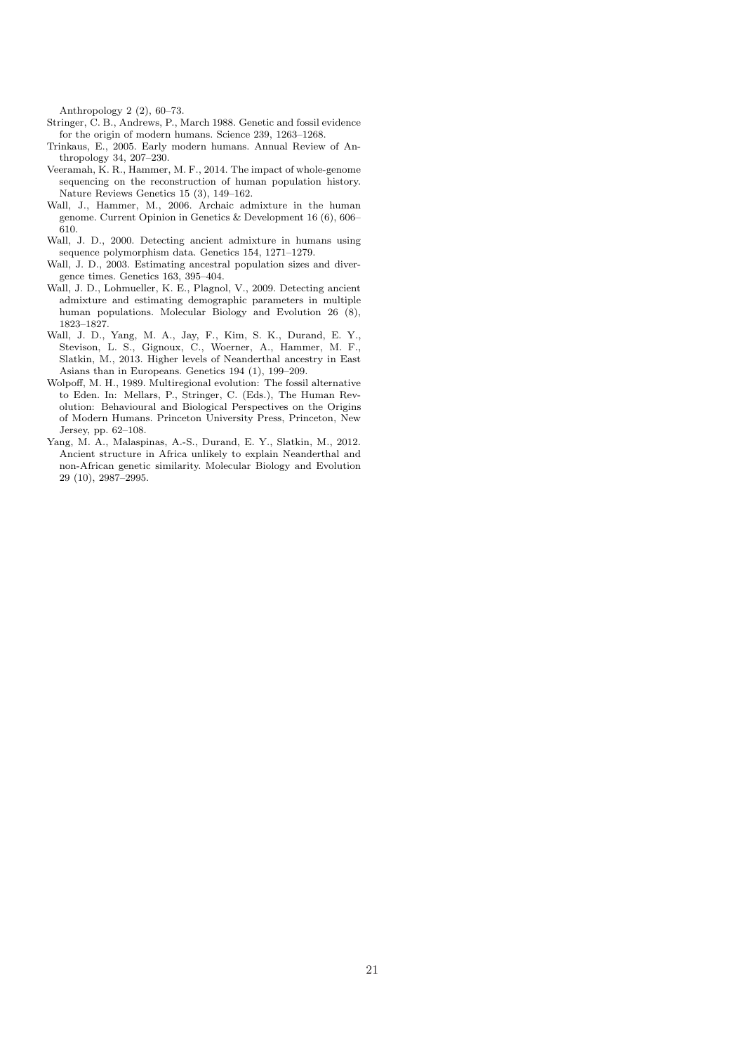Anthropology 2 (2), 60–73.

- <span id="page-20-1"></span>Stringer, C. B., Andrews, P., March 1988. Genetic and fossil evidence for the origin of modern humans. Science 239, 1263–1268.
- <span id="page-20-2"></span>Trinkaus, E., 2005. Early modern humans. Annual Review of Anthropology 34, 207–230.
- <span id="page-20-9"></span>Veeramah, K. R., Hammer, M. F., 2014. The impact of whole-genome sequencing on the reconstruction of human population history. Nature Reviews Genetics 15 (3), 149–162.
- <span id="page-20-4"></span>Wall, J., Hammer, M., 2006. Archaic admixture in the human genome. Current Opinion in Genetics & Development 16 (6), 606– 610.
- <span id="page-20-5"></span>Wall, J. D., 2000. Detecting ancient admixture in humans using sequence polymorphism data. Genetics 154, 1271–1279.
- <span id="page-20-8"></span>Wall, J. D., 2003. Estimating ancestral population sizes and divergence times. Genetics 163, 395–404.
- <span id="page-20-6"></span>Wall, J. D., Lohmueller, K. E., Plagnol, V., 2009. Detecting ancient admixture and estimating demographic parameters in multiple human populations. Molecular Biology and Evolution 26 (8), 1823–1827.
- <span id="page-20-7"></span>Wall, J. D., Yang, M. A., Jay, F., Kim, S. K., Durand, E. Y., Stevison, L. S., Gignoux, C., Woerner, A., Hammer, M. F., Slatkin, M., 2013. Higher levels of Neanderthal ancestry in East Asians than in Europeans. Genetics 194 (1), 199–209.
- <span id="page-20-0"></span>Wolpoff, M. H., 1989. Multiregional evolution: The fossil alternative to Eden. In: Mellars, P., Stringer, C. (Eds.), The Human Revolution: Behavioural and Biological Perspectives on the Origins of Modern Humans. Princeton University Press, Princeton, New Jersey, pp. 62–108.
- <span id="page-20-3"></span>Yang, M. A., Malaspinas, A.-S., Durand, E. Y., Slatkin, M., 2012. Ancient structure in Africa unlikely to explain Neanderthal and non-African genetic similarity. Molecular Biology and Evolution 29 (10), 2987–2995.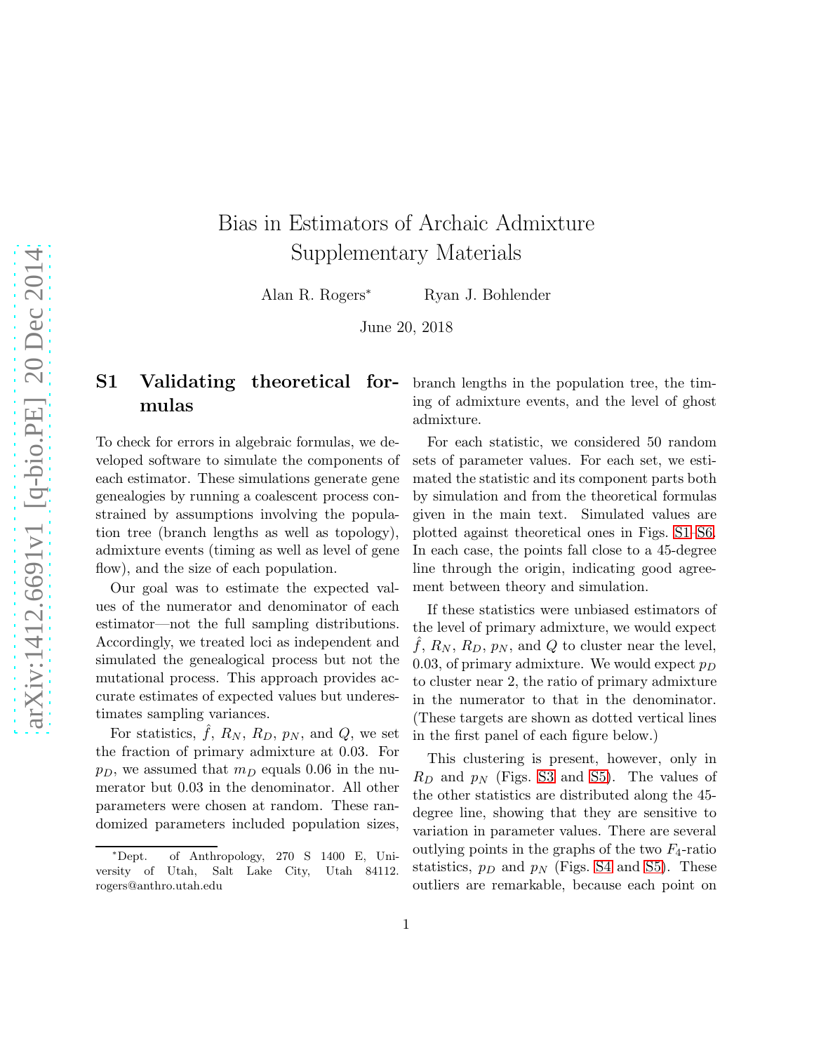# Bias in Estimators of Archaic Admixture Supplementary Materials

Alan R. Rogers<sup>∗</sup> Ryan J. Bohlender

June 20, 2018

# S1 Validating theoretical formulas

To check for errors in algebraic formulas, we developed software to simulate the components of each estimator. These simulations generate gene genealogies by running a coalescent process constrained by assumptions involving the population tree (branch lengths as well as topology), admixture events (timing as well as level of gene flow), and the size of each population.

Our goal was to estimate the expected values of the numerator and denominator of each estimator—not the full sampling distributions. Accordingly, we treated loci as independent and simulated the genealogical process but not the mutational process. This approach provides accurate estimates of expected values but underestimates sampling variances.

For statistics,  $\hat{f}$ ,  $R_N$ ,  $R_D$ ,  $p_N$ , and  $Q$ , we set the fraction of primary admixture at 0.03. For  $p_D$ , we assumed that  $m_D$  equals 0.06 in the numerator but 0.03 in the denominator. All other parameters were chosen at random. These randomized parameters included population sizes,

branch lengths in the population tree, the timing of admixture events, and the level of ghost admixture.

For each statistic, we considered 50 random sets of parameter values. For each set, we estimated the statistic and its component parts both by simulation and from the theoretical formulas given in the main text. Simulated values are plotted against theoretical ones in Figs. [S1–](#page-22-1)[S6.](#page-28-1) In each case, the points fall close to a 45-degree line through the origin, indicating good agreement between theory and simulation.

If these statistics were unbiased estimators of the level of primary admixture, we would expect  $f, R_N, R_D, p_N,$  and  $Q$  to cluster near the level, 0.03, of primary admixture. We would expect  $p_D$ to cluster near 2, the ratio of primary admixture in the numerator to that in the denominator. (These targets are shown as dotted vertical lines in the first panel of each figure below.)

This clustering is present, however, only in  $R_D$  and  $p_N$  (Figs. [S3](#page-25-1) and [S5\)](#page-27-1). The values of the other statistics are distributed along the 45 degree line, showing that they are sensitive to variation in parameter values. There are several outlying points in the graphs of the two  $F_4$ -ratio statistics,  $p_D$  and  $p_N$  (Figs. [S4](#page-26-1) and [S5\)](#page-27-1). These outliers are remarkable, because each point on

<sup>∗</sup>Dept. of Anthropology, 270 S 1400 E, University of Utah, Salt Lake City, Utah 84112. rogers@anthro.utah.edu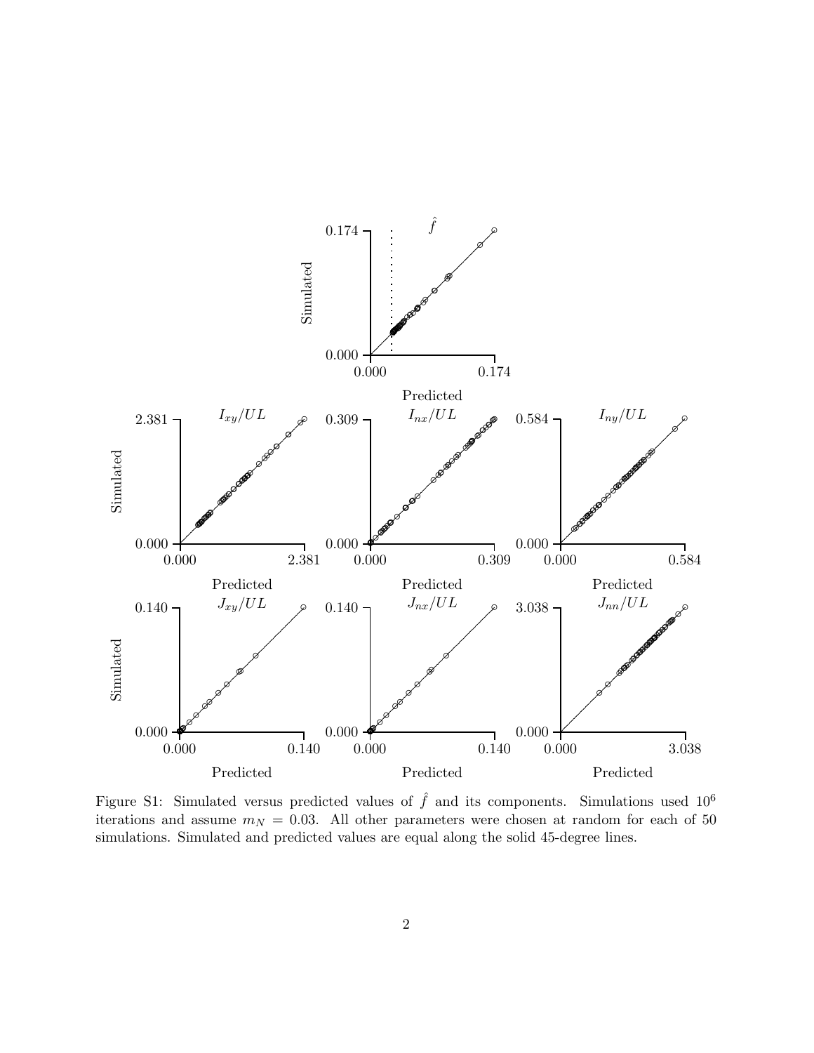

<span id="page-22-1"></span><span id="page-22-0"></span>Figure S1: Simulated versus predicted values of  $\hat{f}$  and its components. Simulations used 10<sup>6</sup> iterations and assume  $m_N = 0.03$ . All other parameters were chosen at random for each of 50 simulations. Simulated and predicted values are equal along the solid 45-degree lines.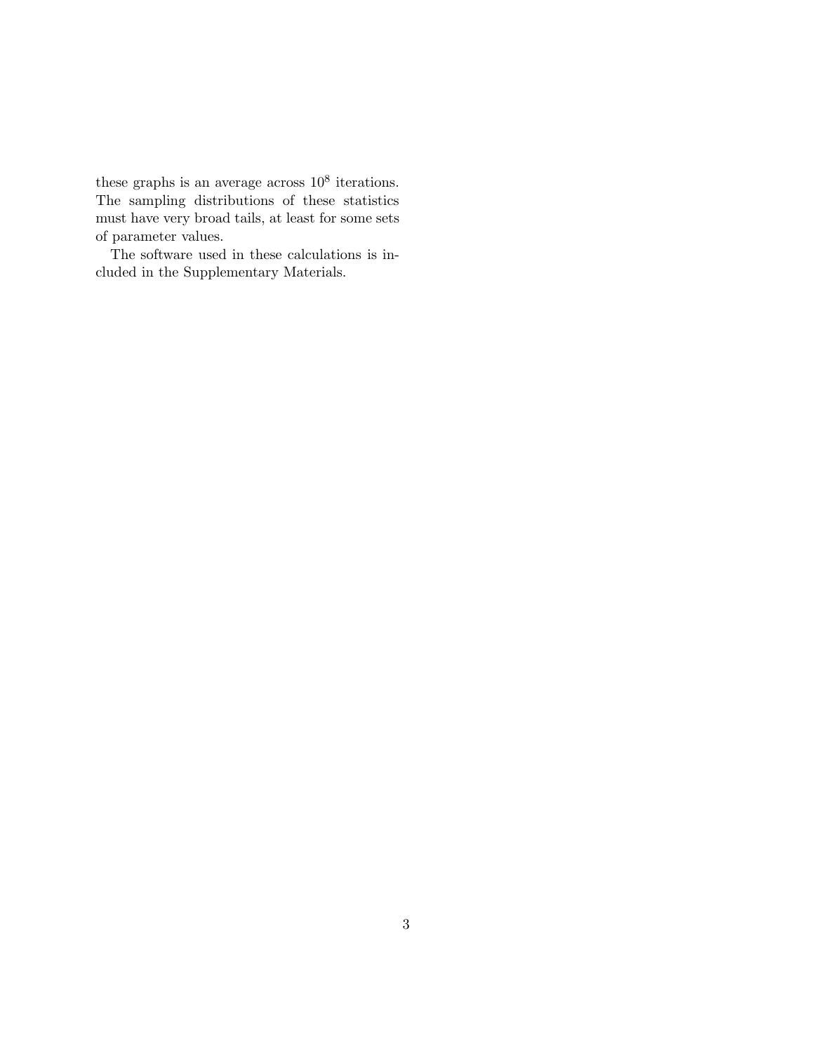these graphs is an average across  $10^8$  iterations. The sampling distributions of these statistics must have very broad tails, at least for some sets of parameter values.

The software used in these calculations is included in the Supplementary Materials.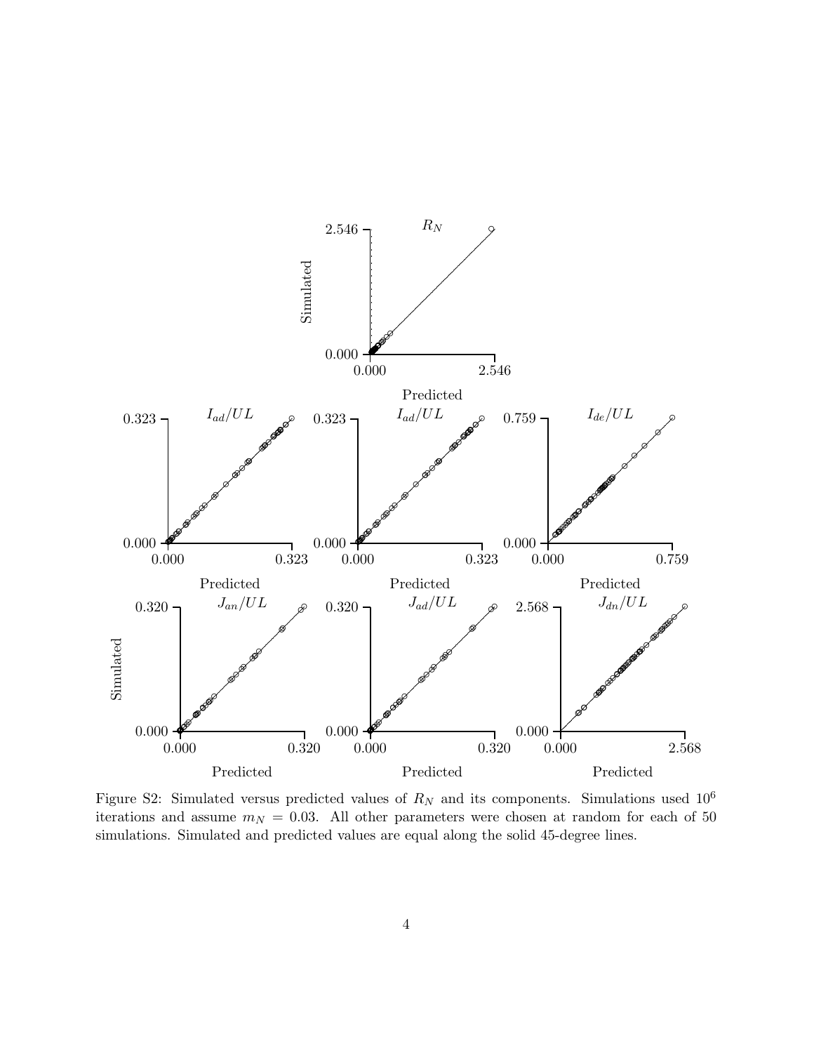

<span id="page-24-0"></span>Figure S2: Simulated versus predicted values of  $R_N$  and its components. Simulations used  $10^6$ iterations and assume  $m_N = 0.03$ . All other parameters were chosen at random for each of 50 simulations. Simulated and predicted values are equal along the solid 45-degree lines.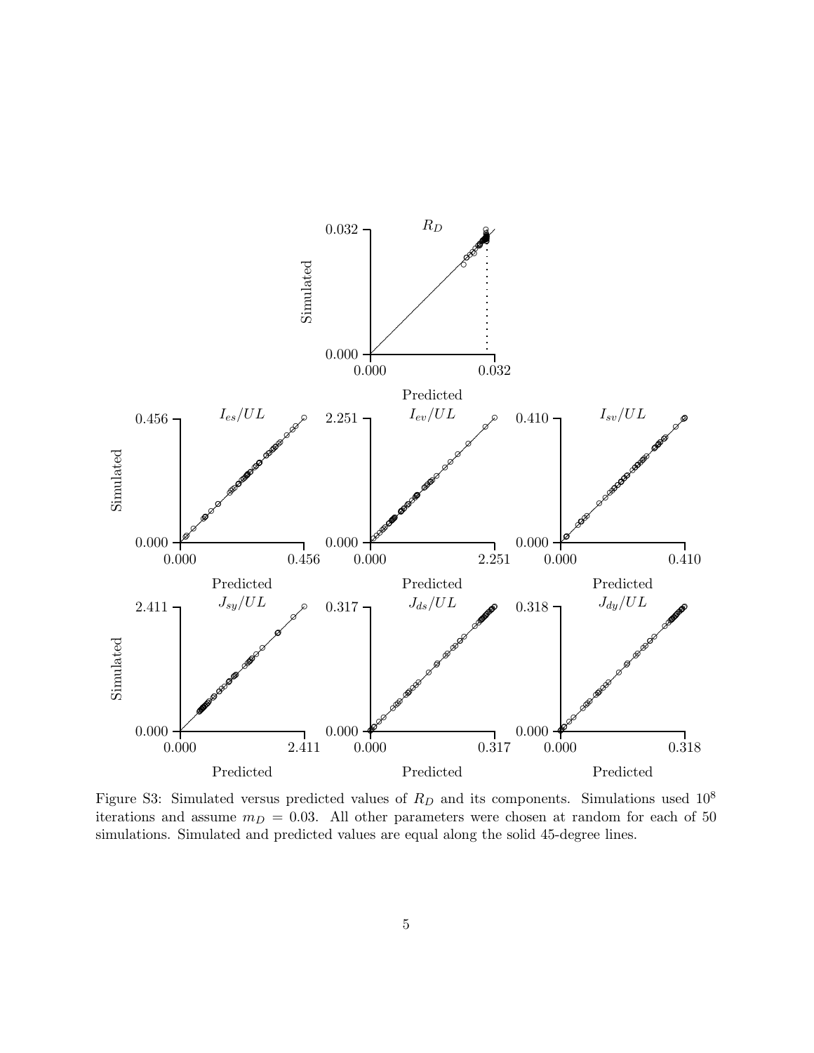

<span id="page-25-1"></span><span id="page-25-0"></span>Figure S3: Simulated versus predicted values of  $R_D$  and its components. Simulations used  $10^8$ iterations and assume  $m_D = 0.03$ . All other parameters were chosen at random for each of 50 simulations. Simulated and predicted values are equal along the solid 45-degree lines.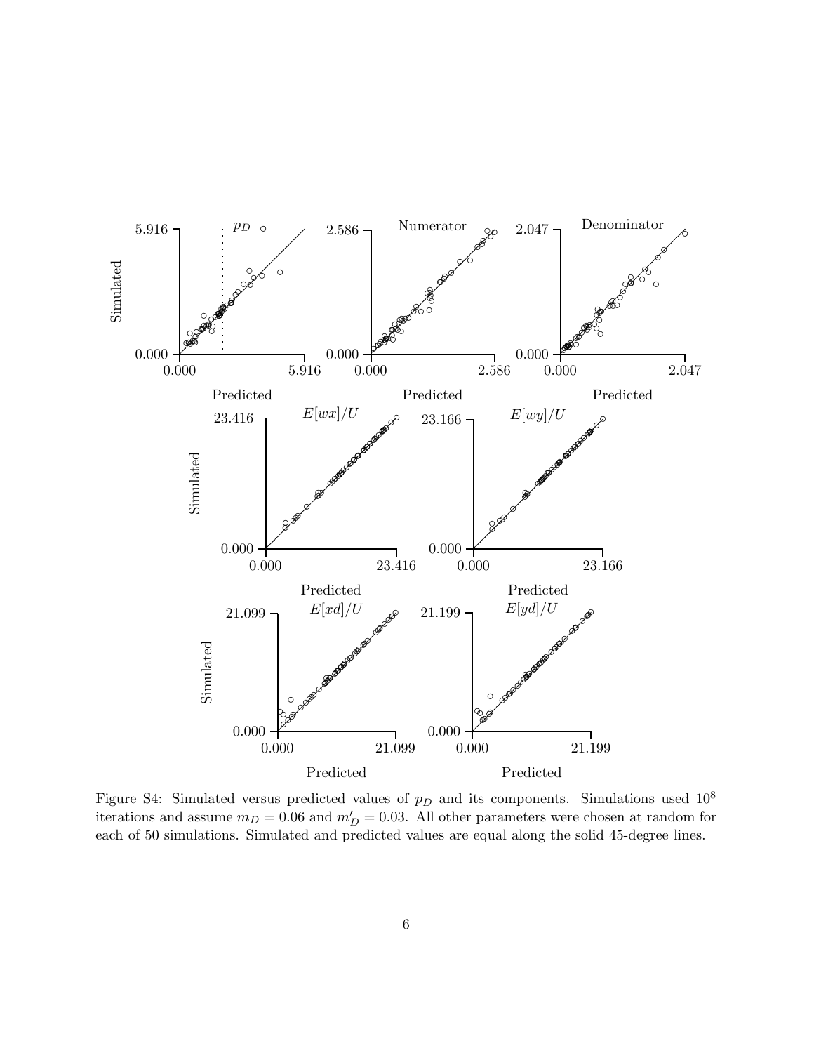

<span id="page-26-1"></span><span id="page-26-0"></span>Figure S4: Simulated versus predicted values of  $p<sub>D</sub>$  and its components. Simulations used 10<sup>8</sup> iterations and assume  $m_D = 0.06$  and  $m'_D = 0.03$ . All other parameters were chosen at random for each of 50 simulations. Simulated and predicted values are equal along the solid 45-degree lines.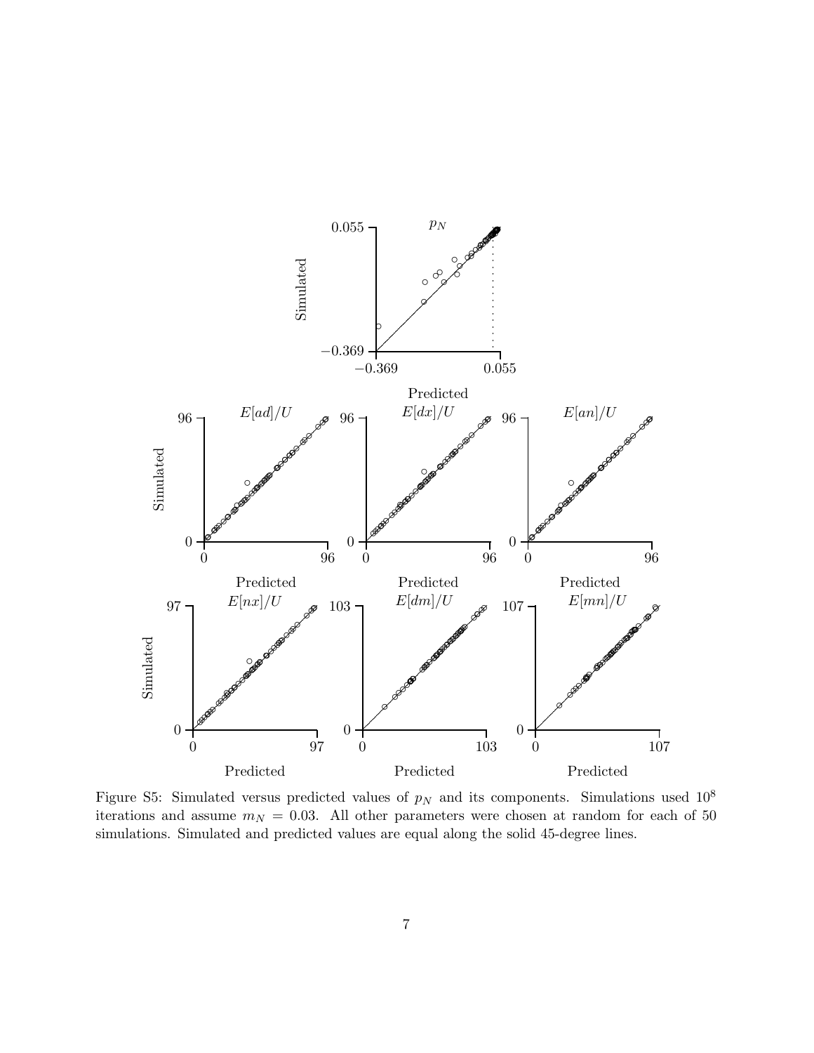

<span id="page-27-1"></span><span id="page-27-0"></span>Figure S5: Simulated versus predicted values of  $p_N$  and its components. Simulations used 10<sup>8</sup> iterations and assume  $m_N = 0.03$ . All other parameters were chosen at random for each of 50 simulations. Simulated and predicted values are equal along the solid 45-degree lines.